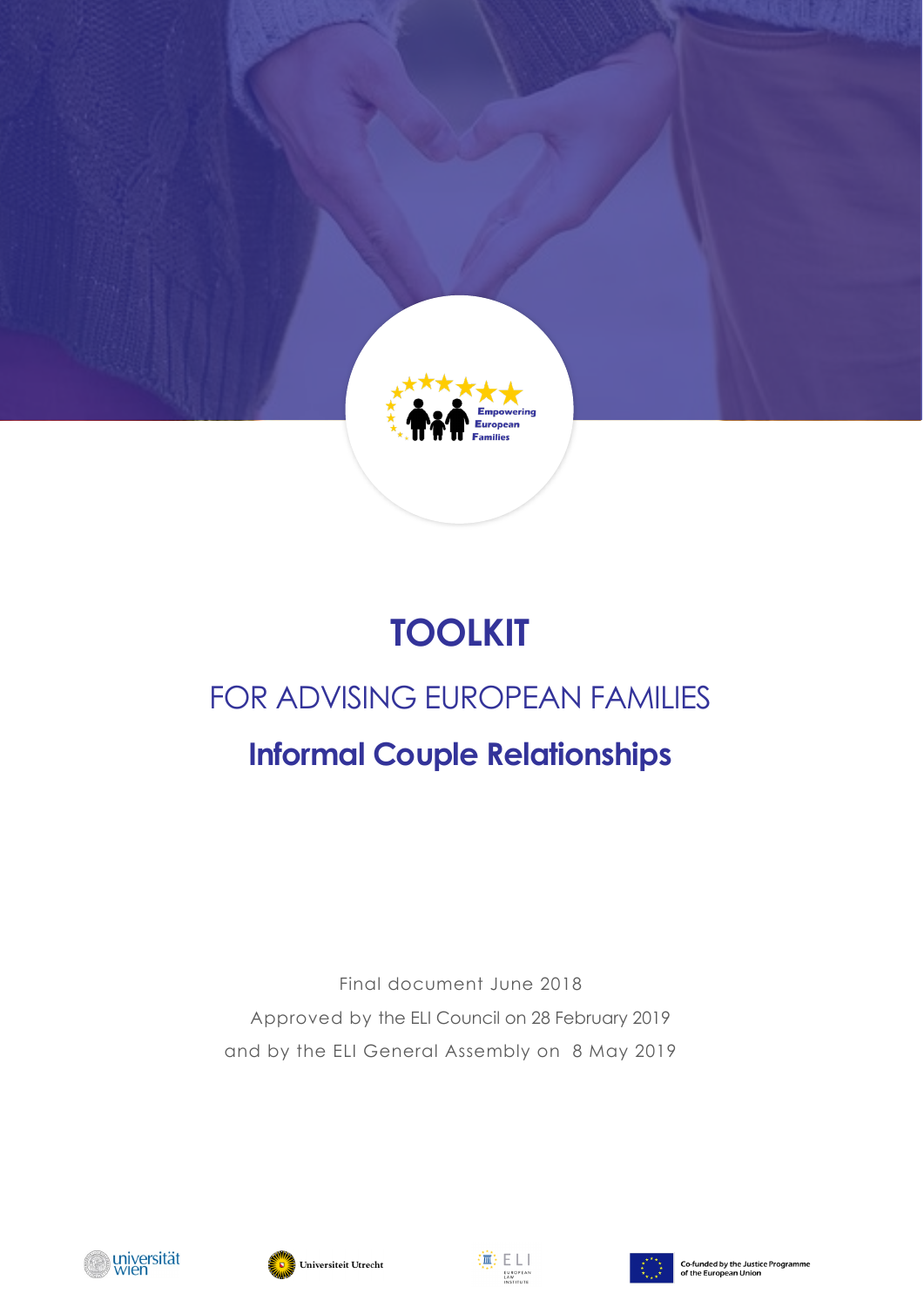

# **TOOLKIT**

# FOR ADVISING EUROPEAN FAMILIES

# **Informal Couple Relationships**

Final document June 2018 Approved by the ELI Council on 28 February 2019 and by the ELI General Assembly on 8 May 2019







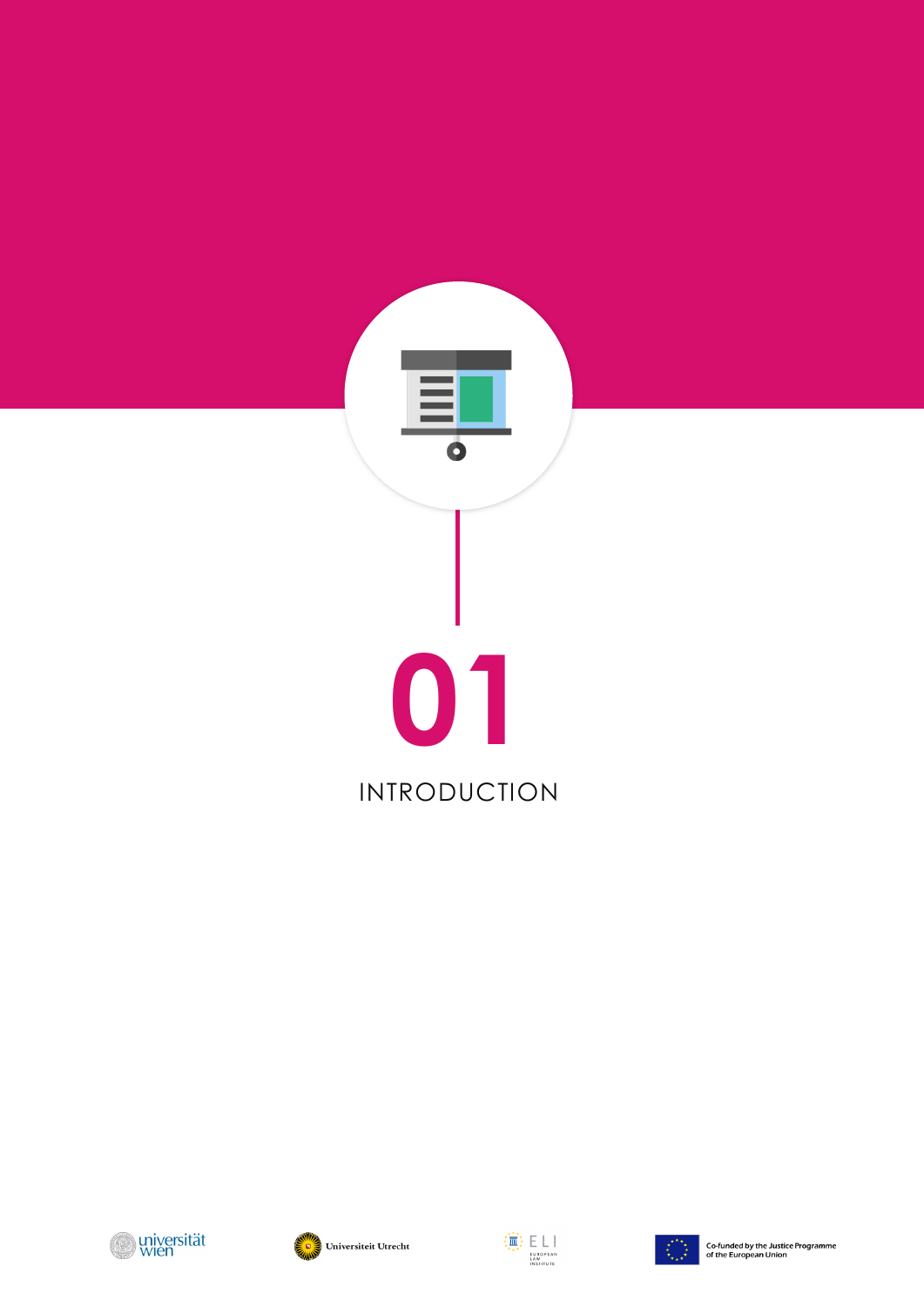







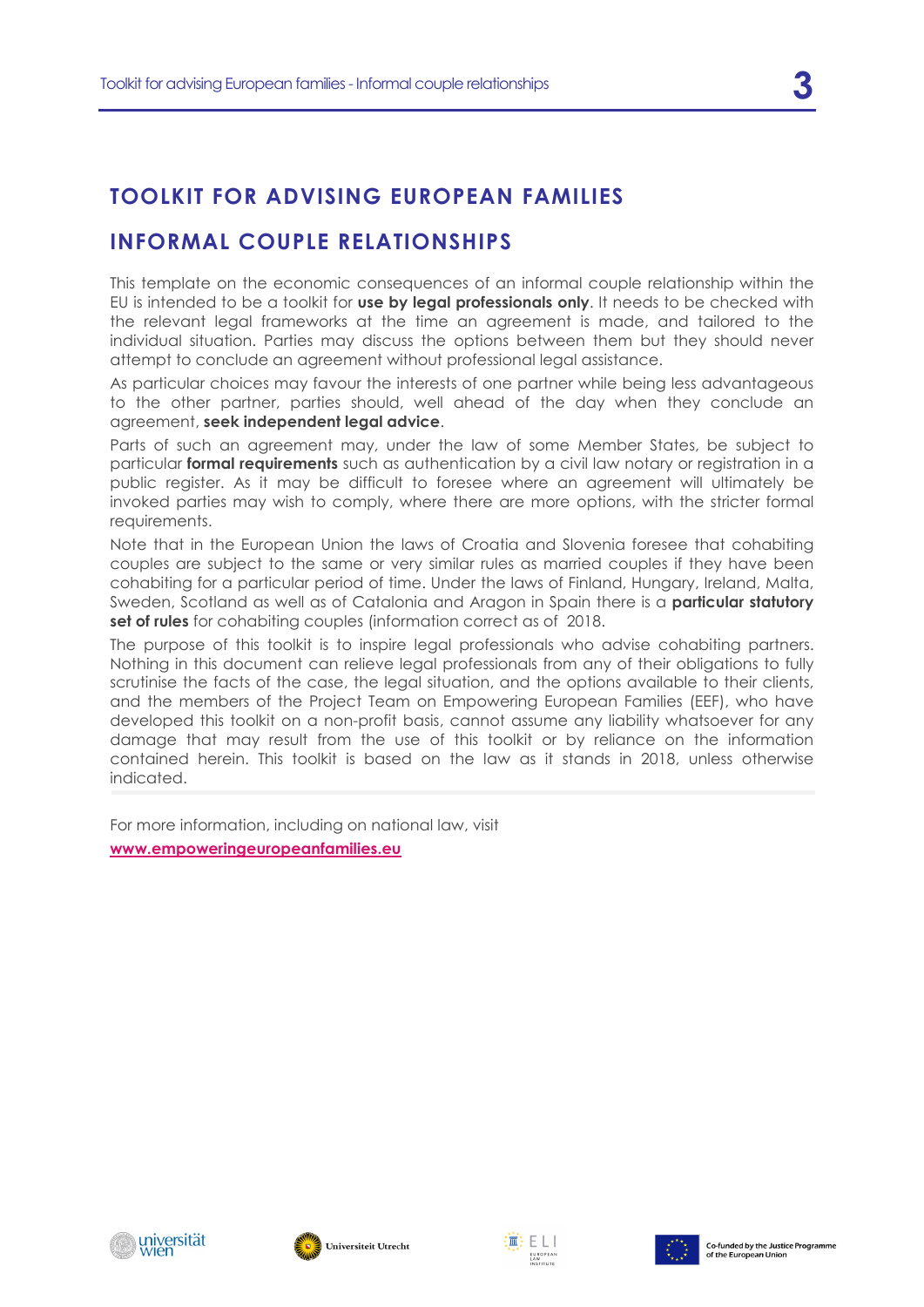# **TOOLKIT FOR ADVISING EUROPEAN FAMILIES**

# **INFORMAL COUPLE RELATIONSHIPS**

This template on the economic consequences of an informal couple relationship within the EU is intended to be a toolkit for **use by legal professionals only**. It needs to be checked with the relevant legal frameworks at the time an agreement is made, and tailored to the individual situation. Parties may discuss the options between them but they should never attempt to conclude an agreement without professional legal assistance.

As particular choices may favour the interests of one partner while being less advantageous to the other partner, parties should, well ahead of the day when they conclude an agreement, **seek independent legal advice**.

Parts of such an agreement may, under the law of some Member States, be subject to particular **formal requirements** such as authentication by a civil law notary or registration in a public register. As it may be difficult to foresee where an agreement will ultimately be invoked parties may wish to comply, where there are more options, with the stricter formal requirements.

Note that in the European Union the laws of Croatia and Slovenia foresee that cohabiting couples are subject to the same or very similar rules as married couples if they have been cohabiting for a particular period of time. Under the laws of Finland, Hungary, Ireland, Malta, Sweden, Scotland as well as of Catalonia and Aragon in Spain there is a **particular statutory set of rules** for cohabiting couples (information correct as of 2018.

The purpose of this toolkit is to inspire legal professionals who advise cohabiting partners. Nothing in this document can relieve legal professionals from any of their obligations to fully scrutinise the facts of the case, the legal situation, and the options available to their clients, and the members of the Project Team on Empowering European Families (EEF), who have developed this toolkit on a non-profit basis, cannot assume any liability whatsoever for any damage that may result from the use of this toolkit or by reliance on the information contained herein. This toolkit is based on the law as it stands in 2018, unless otherwise indicated.

For more information, including on national law, visit **[www.empoweringeuropeanfamilies.eu](http://www.empoweringeuropeanfamilies.eu/)**







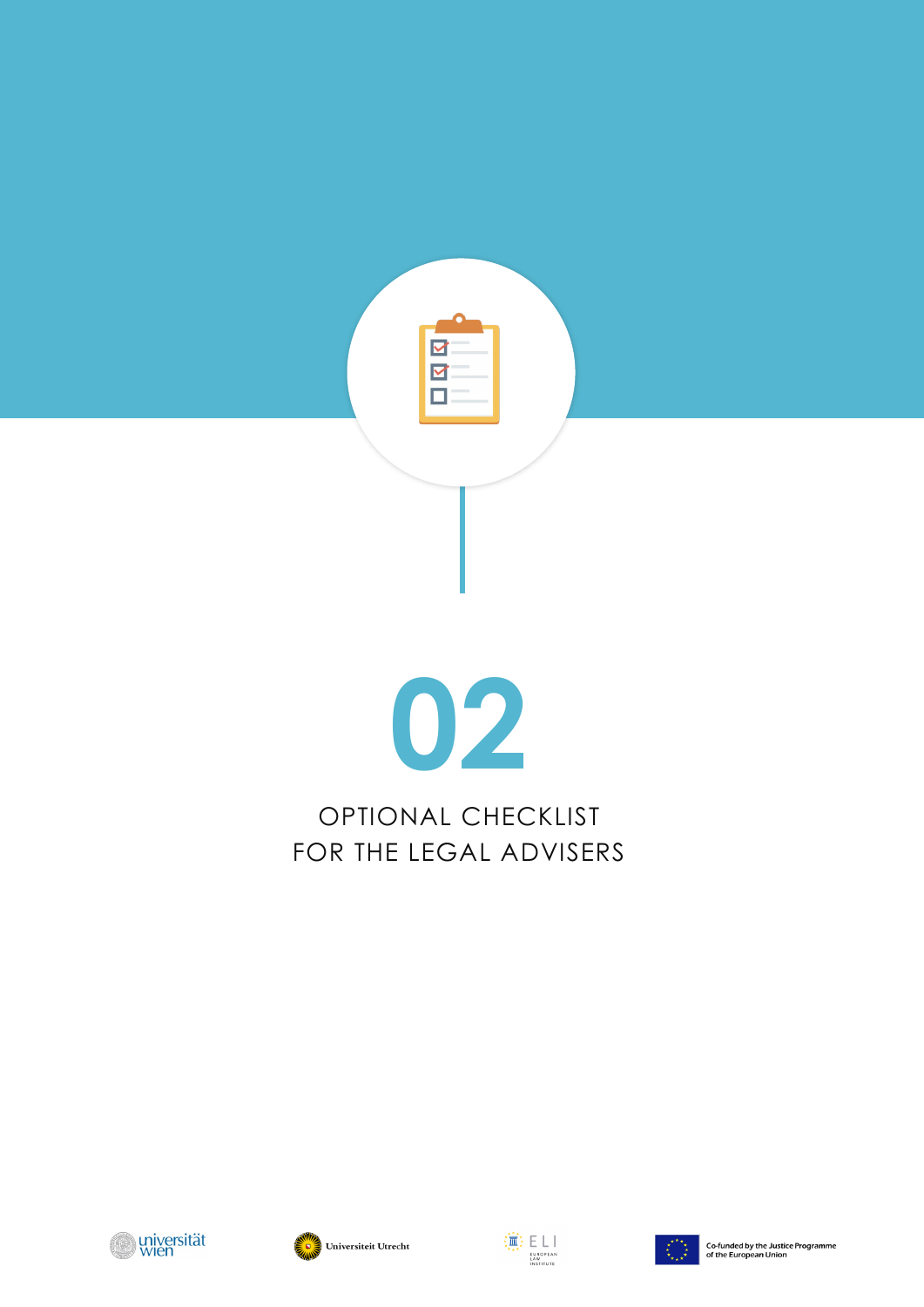







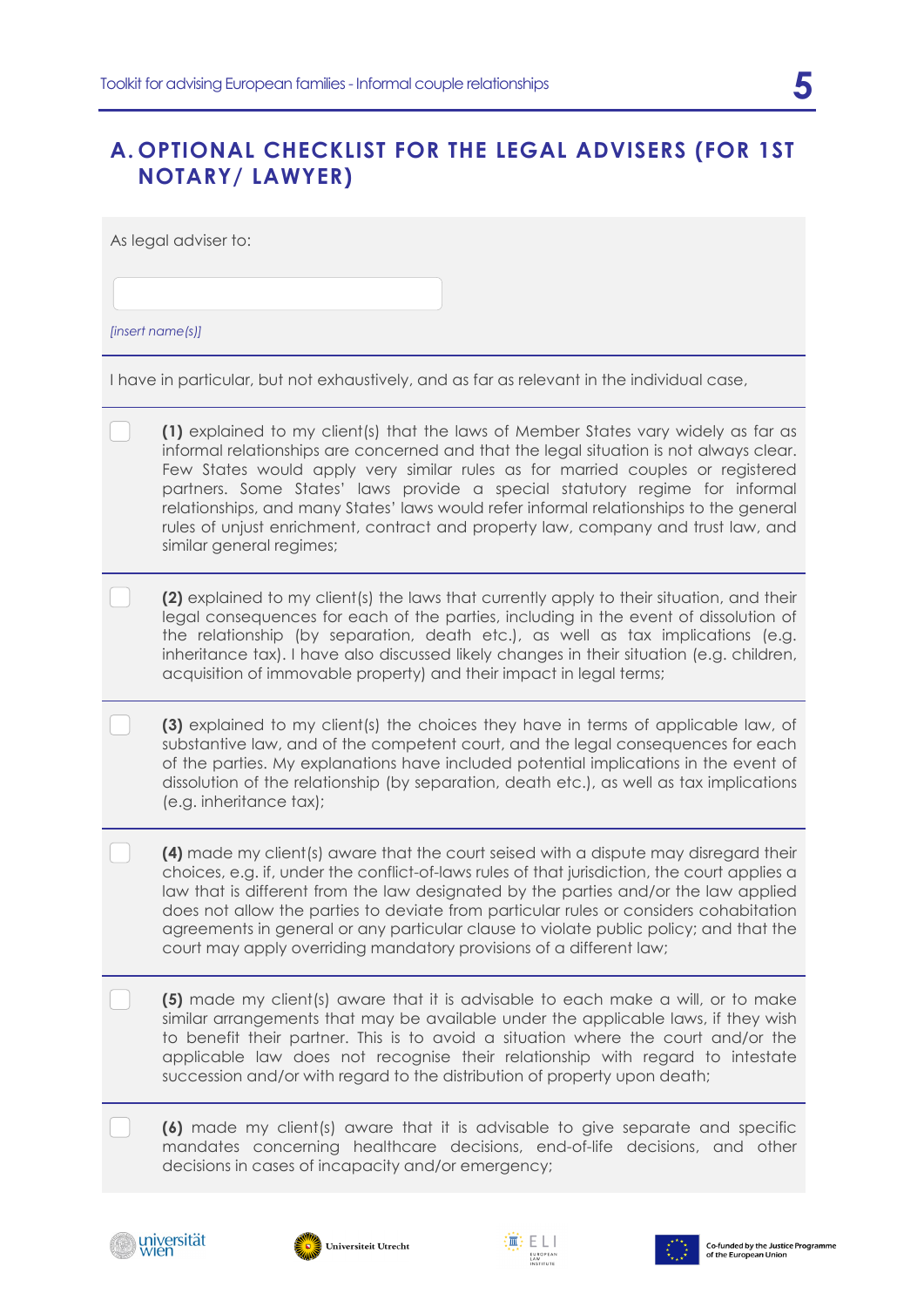# **A. OPTIONAL CHECKLIST FOR THE LEGAL ADVISERS (FOR 1ST NOTARY/ LAWYER)**

As legal adviser to:

*[insert name(s)]*

I have in particular, but not exhaustively, and as far as relevant in the individual case,

| (1) explained to my client(s) that the laws of Member States vary widely as far as<br>informal relationships are concerned and that the legal situation is not always clear.<br>Few States would apply very similar rules as for married couples or registered<br>partners. Some States' laws provide a special statutory regime for informal<br>relationships, and many States' laws would refer informal relationships to the general<br>rules of unjust enrichment, contract and property law, company and trust law, and<br>similar general regimes; |
|----------------------------------------------------------------------------------------------------------------------------------------------------------------------------------------------------------------------------------------------------------------------------------------------------------------------------------------------------------------------------------------------------------------------------------------------------------------------------------------------------------------------------------------------------------|
| (2) explained to my client(s) the laws that currently apply to their situation, and their<br>legal consequences for each of the parties, including in the event of dissolution of<br>the relationship (by separation, death etc.), as well as tax implications (e.g.<br>inheritance tax). I have also discussed likely changes in their situation (e.g. children,<br>acquisition of immovable property) and their impact in legal terms;                                                                                                                 |
| (3) explained to my client(s) the choices they have in terms of applicable law, of<br>substantive law, and of the competent court, and the legal consequences for each<br>of the parties. My explanations have included potential implications in the event of<br>dissolution of the relationship (by separation, death etc.), as well as tax implications<br>(e.g. inheritance tax);                                                                                                                                                                    |
| (4) made my client(s) aware that the court seised with a dispute may disregard their<br>choices, e.g. if, under the conflict-of-laws rules of that jurisdiction, the court applies a<br>law that is different from the law designated by the parties and/or the law applied<br>does not allow the parties to deviate from particular rules or considers cohabitation<br>agreements in general or any particular clause to violate public policy; and that the<br>court may apply overriding mandatory provisions of a different law;                     |
| (5) made my client(s) aware that it is advisable to each make a will, or to make<br>similar arrangements that may be available under the applicable laws, if they wish<br>to benefit their partner. This is to avoid a situation where the court and/or the<br>applicable law does not recognise their relationship with regard to intestate<br>succession and/or with regard to the distribution of property upon death;                                                                                                                                |
| (6) made my client(s) aware that it is advisable to give separate and specific<br>mandates concerning healthcare decisions, end-of-life decisions, and other<br>decisions in cases of incapacity and/or emergency;                                                                                                                                                                                                                                                                                                                                       |







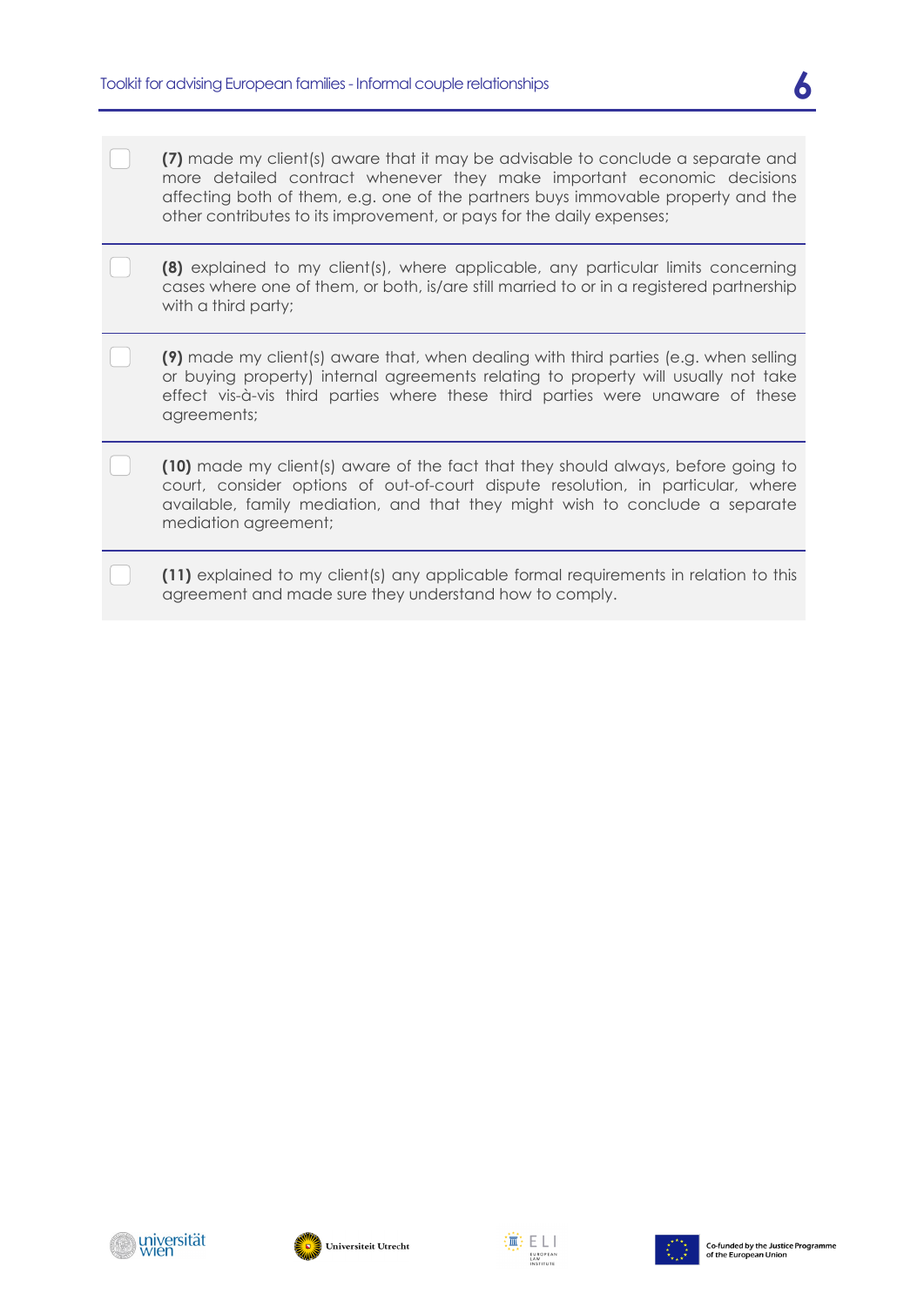- **(7)** made my client(s) aware that it may be advisable to conclude a separate and more detailed contract whenever they make important economic decisions affecting both of them, e.g. one of the partners buys immovable property and the other contributes to its improvement, or pays for the daily expenses;
- **(8)** explained to my client(s), where applicable, any particular limits concerning cases where one of them, or both, is/are still married to or in a registered partnership with a third party;
- **(9)** made my client(s) aware that, when dealing with third parties (e.g. when selling or buying property) internal agreements relating to property will usually not take effect vis-à-vis third parties where these third parties were unaware of these agreements;
	- **(10)** made my client(s) aware of the fact that they should always, before going to court, consider options of out-of-court dispute resolution, in particular, where available, family mediation, and that they might wish to conclude a separate mediation agreement;
	- **(11)** explained to my client(s) any applicable formal requirements in relation to this agreement and made sure they understand how to comply.





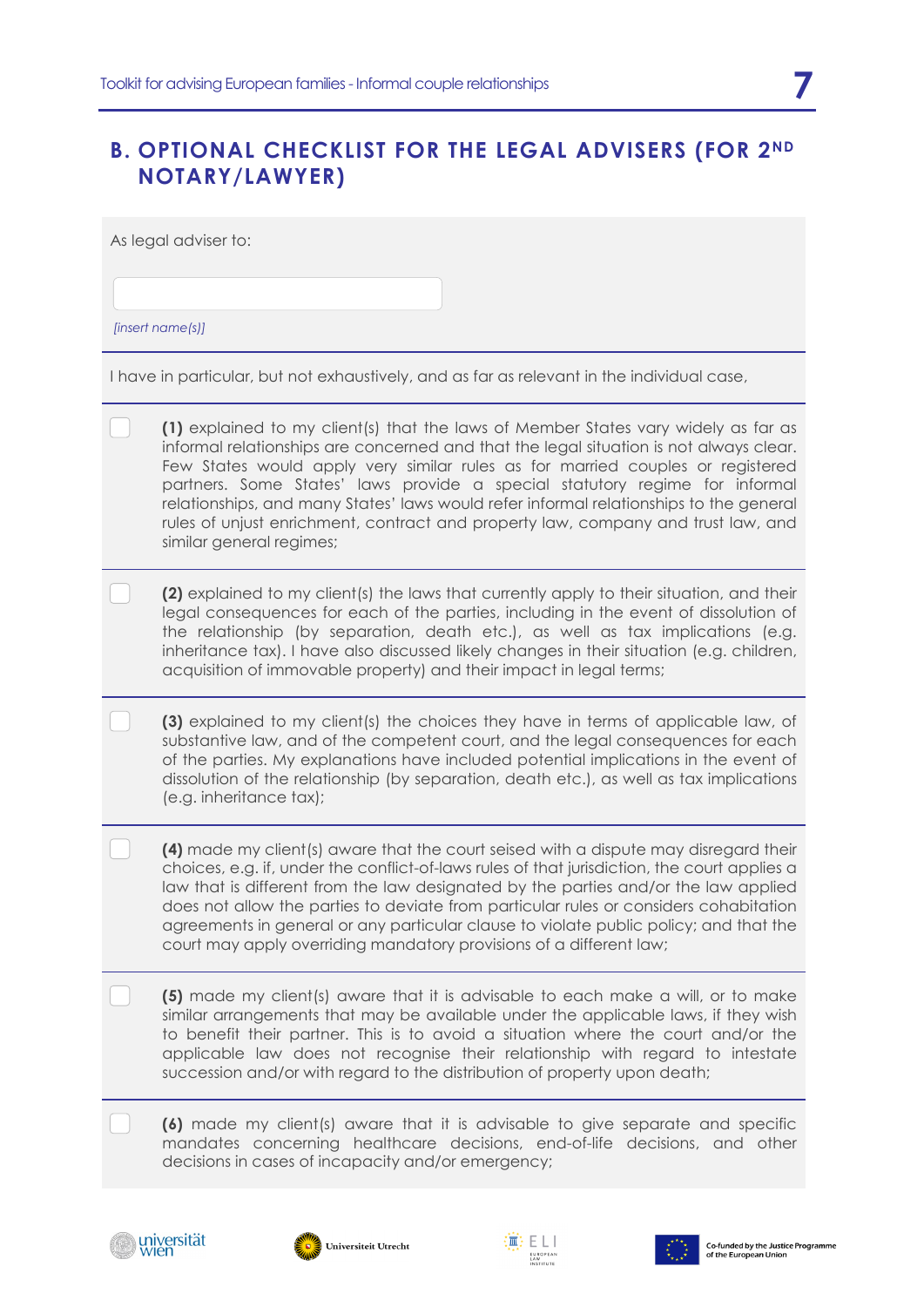# **B. OPTIONAL CHECKLIST FOR THE LEGAL ADVISERS (FOR 2ND NOTARY/LAWYER)**

As legal adviser to:

*[insert name(s)]*

I have in particular, but not exhaustively, and as far as relevant in the individual case,

| indivo in particular, but not oxitablition, and as far as following in the individual case,                                                                                                                                                                                                                                                                                                                                                                                                                                                              |
|----------------------------------------------------------------------------------------------------------------------------------------------------------------------------------------------------------------------------------------------------------------------------------------------------------------------------------------------------------------------------------------------------------------------------------------------------------------------------------------------------------------------------------------------------------|
| (1) explained to my client(s) that the laws of Member States vary widely as far as<br>informal relationships are concerned and that the legal situation is not always clear.<br>Few States would apply very similar rules as for married couples or registered<br>partners. Some States' laws provide a special statutory regime for informal<br>relationships, and many States' laws would refer informal relationships to the general<br>rules of unjust enrichment, contract and property law, company and trust law, and<br>similar general regimes; |
| (2) explained to my client(s) the laws that currently apply to their situation, and their<br>legal consequences for each of the parties, including in the event of dissolution of<br>the relationship (by separation, death etc.), as well as tax implications (e.g.<br>inheritance tax). I have also discussed likely changes in their situation (e.g. children,<br>acquisition of immovable property) and their impact in legal terms;                                                                                                                 |
| (3) explained to my client(s) the choices they have in terms of applicable law, of<br>substantive law, and of the competent court, and the legal consequences for each<br>of the parties. My explanations have included potential implications in the event of<br>dissolution of the relationship (by separation, death etc.), as well as tax implications<br>(e.g. inheritance tax);                                                                                                                                                                    |
| (4) made my client(s) aware that the court seised with a dispute may disregard their<br>choices, e.g. if, under the conflict-of-laws rules of that jurisdiction, the court applies a<br>law that is different from the law designated by the parties and/or the law applied<br>does not allow the parties to deviate from particular rules or considers cohabitation<br>agreements in general or any particular clause to violate public policy; and that the<br>court may apply overriding mandatory provisions of a different law;                     |
| (5) made my client(s) aware that it is advisable to each make a will, or to make<br>similar arrangements that may be available under the applicable laws, if they wish<br>to benefit their partner. This is to avoid a situation where the court and/or the<br>applicable law does not recognise their relationship with regard to intestate<br>succession and/or with regard to the distribution of property upon death;                                                                                                                                |
| (6) made my client(s) aware that it is advisable to give separate and specific<br>mandates concerning healthcare decisions, end-of-life decisions, and other<br>decisions in cases of incapacity and/or emergency;                                                                                                                                                                                                                                                                                                                                       |
|                                                                                                                                                                                                                                                                                                                                                                                                                                                                                                                                                          |







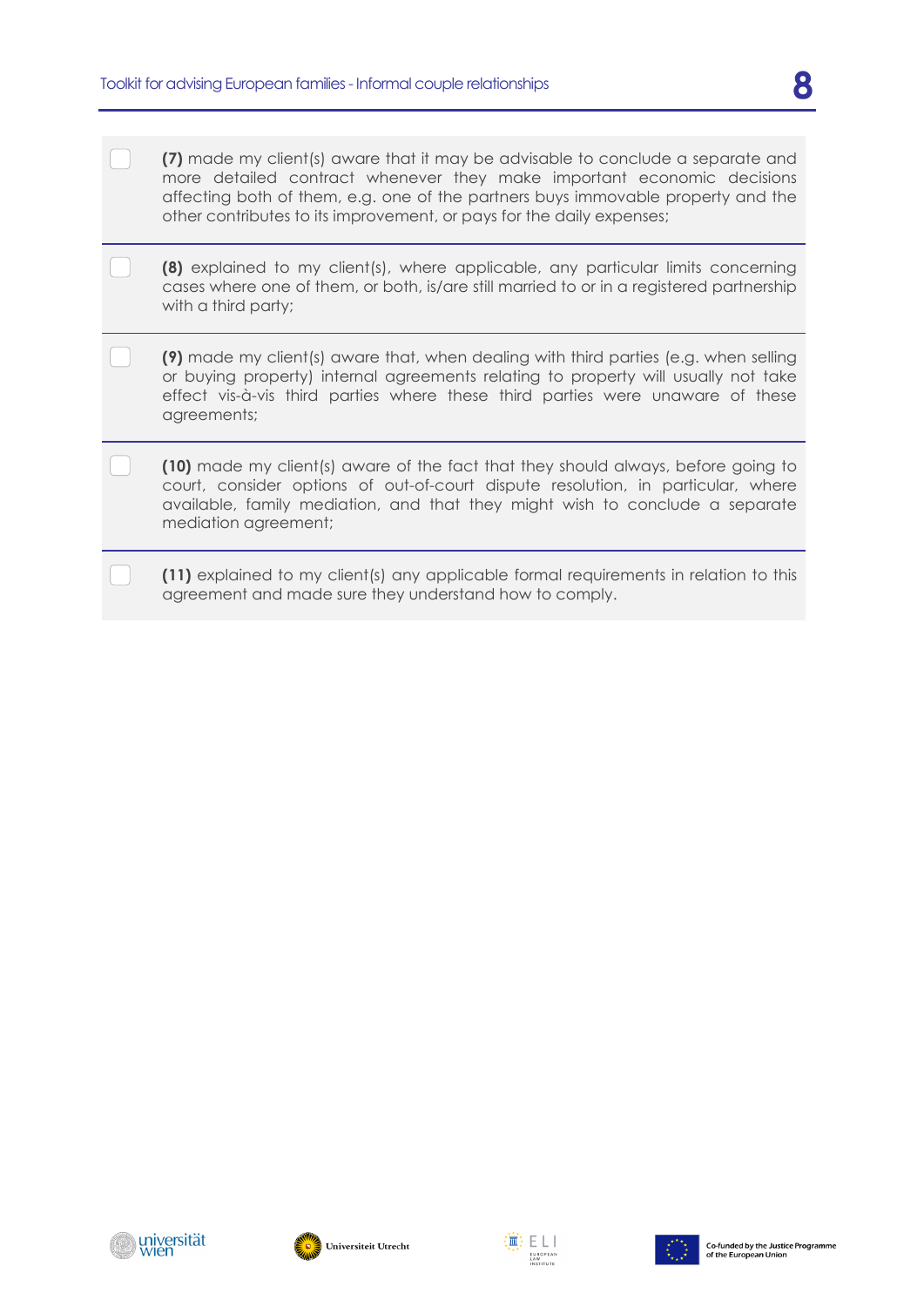- **(7)** made my client(s) aware that it may be advisable to conclude a separate and more detailed contract whenever they make important economic decisions affecting both of them, e.g. one of the partners buys immovable property and the other contributes to its improvement, or pays for the daily expenses;
- **(8)** explained to my client(s), where applicable, any particular limits concerning cases where one of them, or both, is/are still married to or in a registered partnership with a third party;
- **(9)** made my client(s) aware that, when dealing with third parties (e.g. when selling or buying property) internal agreements relating to property will usually not take effect vis-à-vis third parties where these third parties were unaware of these agreements;
	- **(10)** made my client(s) aware of the fact that they should always, before going to court, consider options of out-of-court dispute resolution, in particular, where available, family mediation, and that they might wish to conclude a separate mediation agreement;
	- **(11)** explained to my client(s) any applicable formal requirements in relation to this agreement and made sure they understand how to comply.





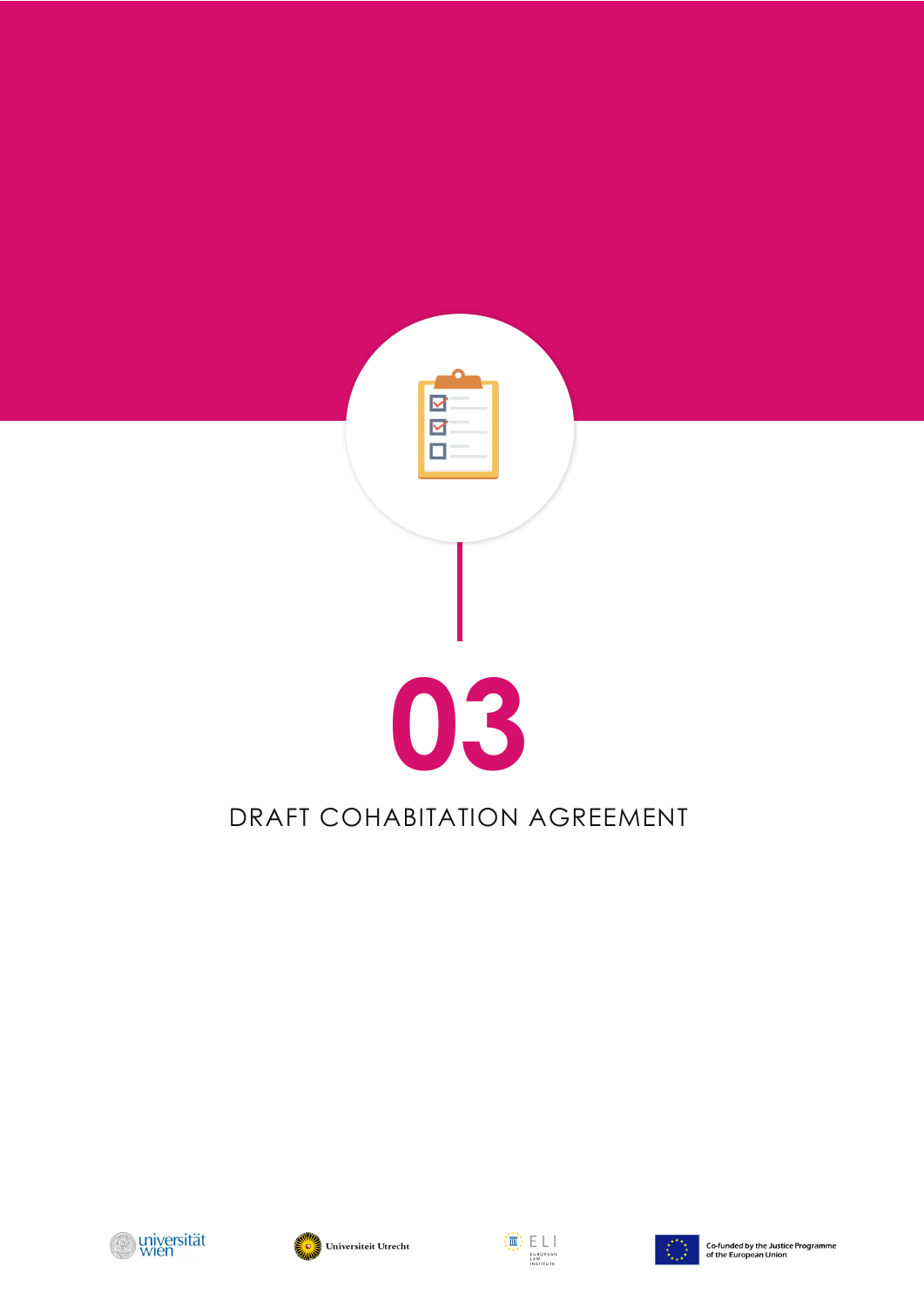









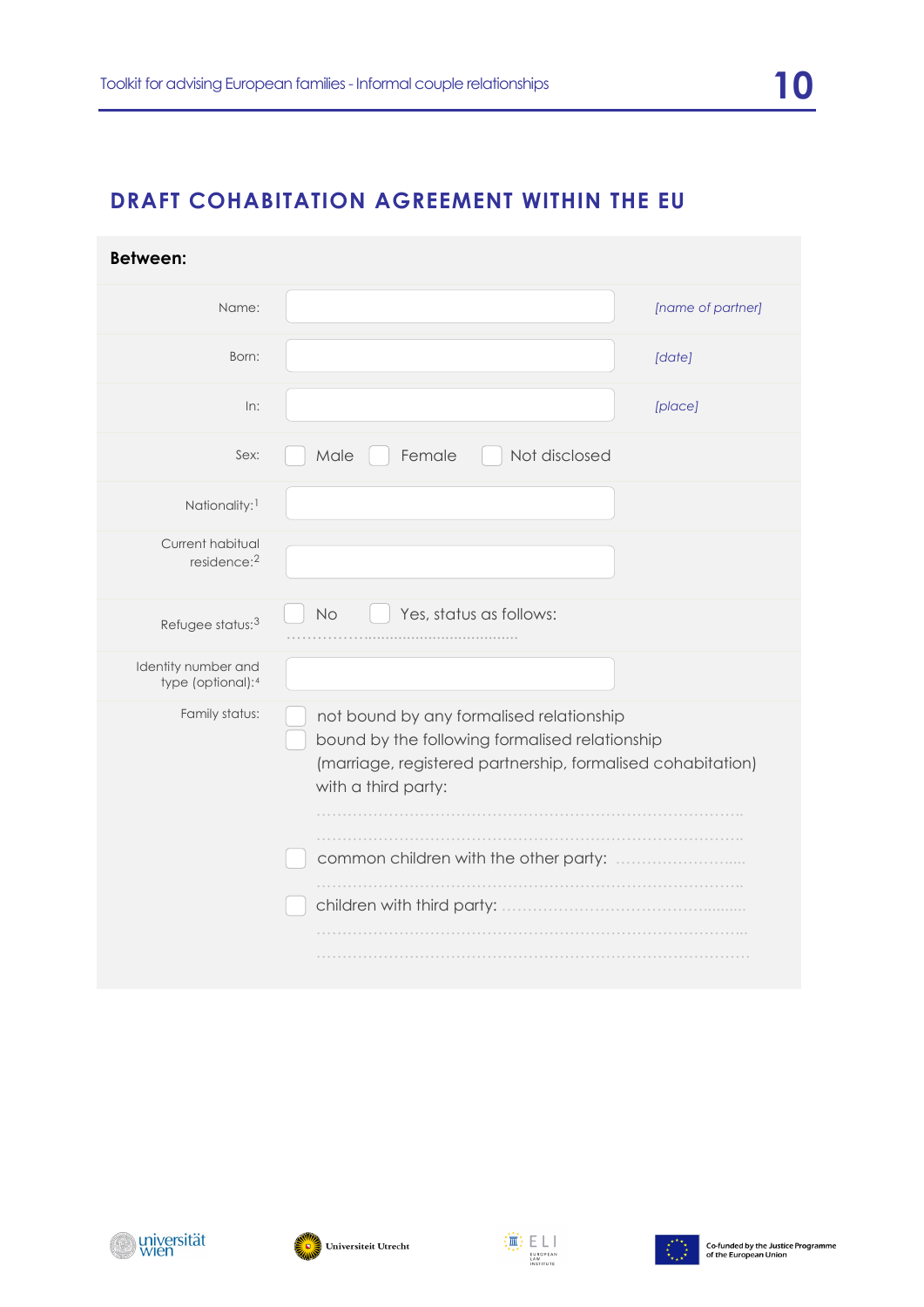# **DRAFT COHABITATION AGREEMENT WITHIN THE EU**

| <b>Between:</b>                             |                                                                                                                                                                                  |
|---------------------------------------------|----------------------------------------------------------------------------------------------------------------------------------------------------------------------------------|
| Name:                                       | [name of partner]                                                                                                                                                                |
| Born:                                       | [date]                                                                                                                                                                           |
| In:                                         | [place]                                                                                                                                                                          |
| Sex:                                        | Not disclosed<br>Female<br>Male                                                                                                                                                  |
| Nationality: <sup>1</sup>                   |                                                                                                                                                                                  |
| Current habitual<br>residence: <sup>2</sup> |                                                                                                                                                                                  |
| Refugee status: <sup>3</sup>                | Yes, status as follows:<br>No                                                                                                                                                    |
| Identity number and<br>type (optional):4    |                                                                                                                                                                                  |
| Family status:                              | not bound by any formalised relationship<br>bound by the following formalised relationship<br>(marriage, registered partnership, formalised cohabitation)<br>with a third party: |
|                                             |                                                                                                                                                                                  |
|                                             |                                                                                                                                                                                  |
|                                             |                                                                                                                                                                                  |





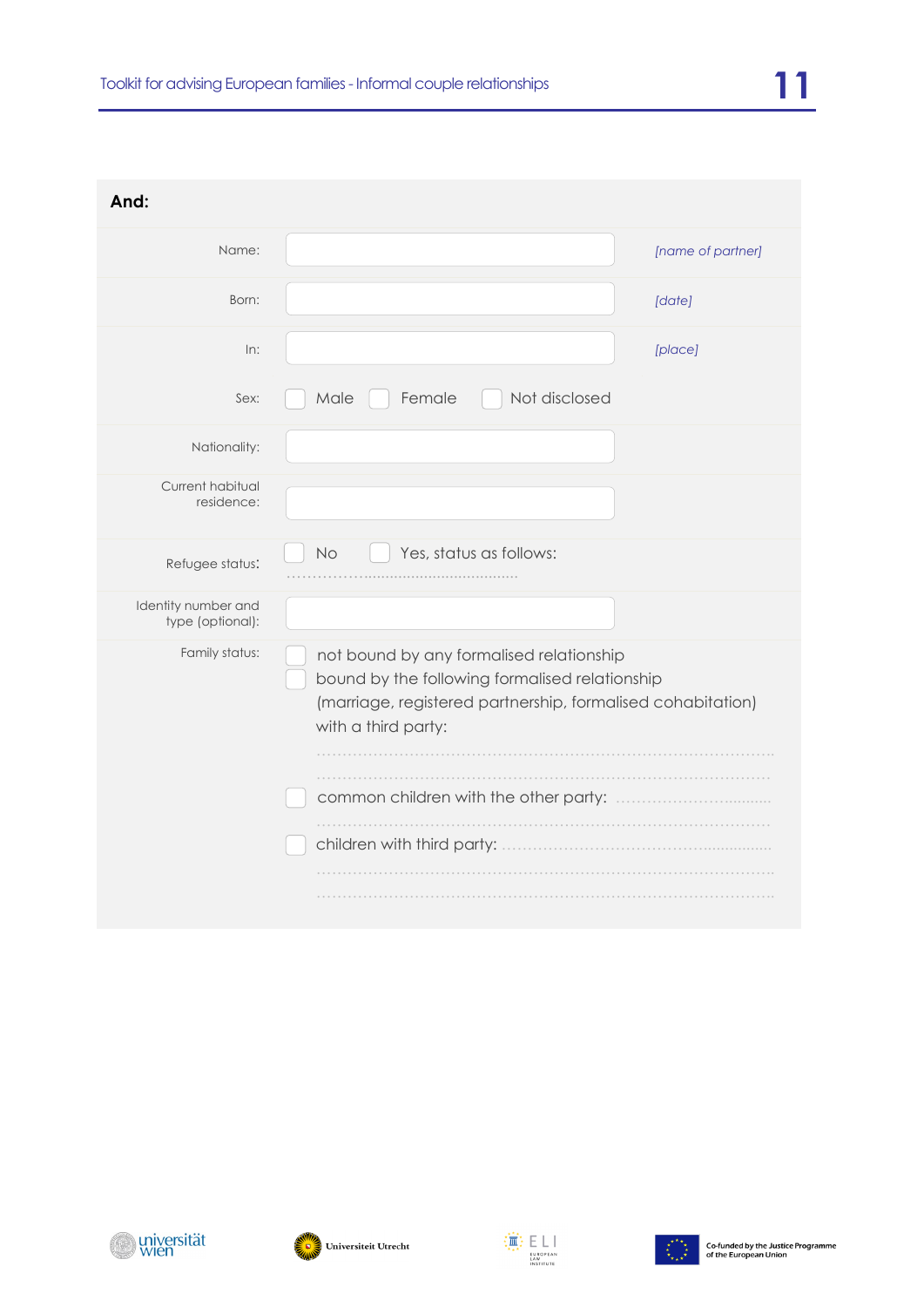| And:                                    |                                                                                                                                                                                  |
|-----------------------------------------|----------------------------------------------------------------------------------------------------------------------------------------------------------------------------------|
| Name:                                   | [name of partner]                                                                                                                                                                |
| Born:                                   | [date]                                                                                                                                                                           |
| In:                                     | [place]                                                                                                                                                                          |
| Sex:                                    | Female<br>Not disclosed<br>Male                                                                                                                                                  |
| Nationality:                            |                                                                                                                                                                                  |
| Current habitual<br>residence:          |                                                                                                                                                                                  |
| Refugee status:                         | Yes, status as follows:<br><b>No</b>                                                                                                                                             |
| Identity number and<br>type (optional): |                                                                                                                                                                                  |
| Family status:                          | not bound by any formalised relationship<br>bound by the following formalised relationship<br>(marriage, registered partnership, formalised cohabitation)<br>with a third party: |







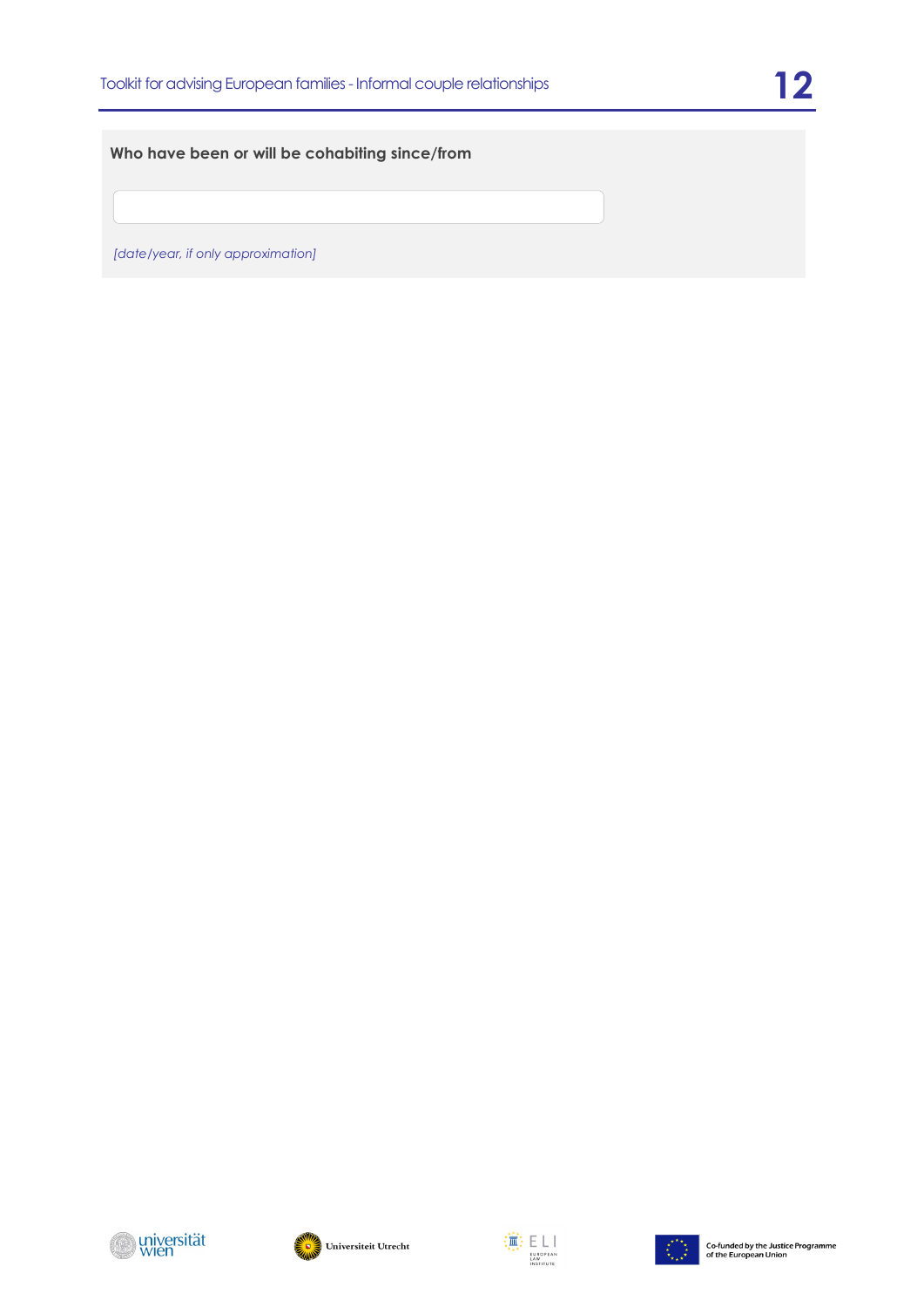#### **Who have been or will be cohabiting since/from**

*[date/year, if only approximation]*







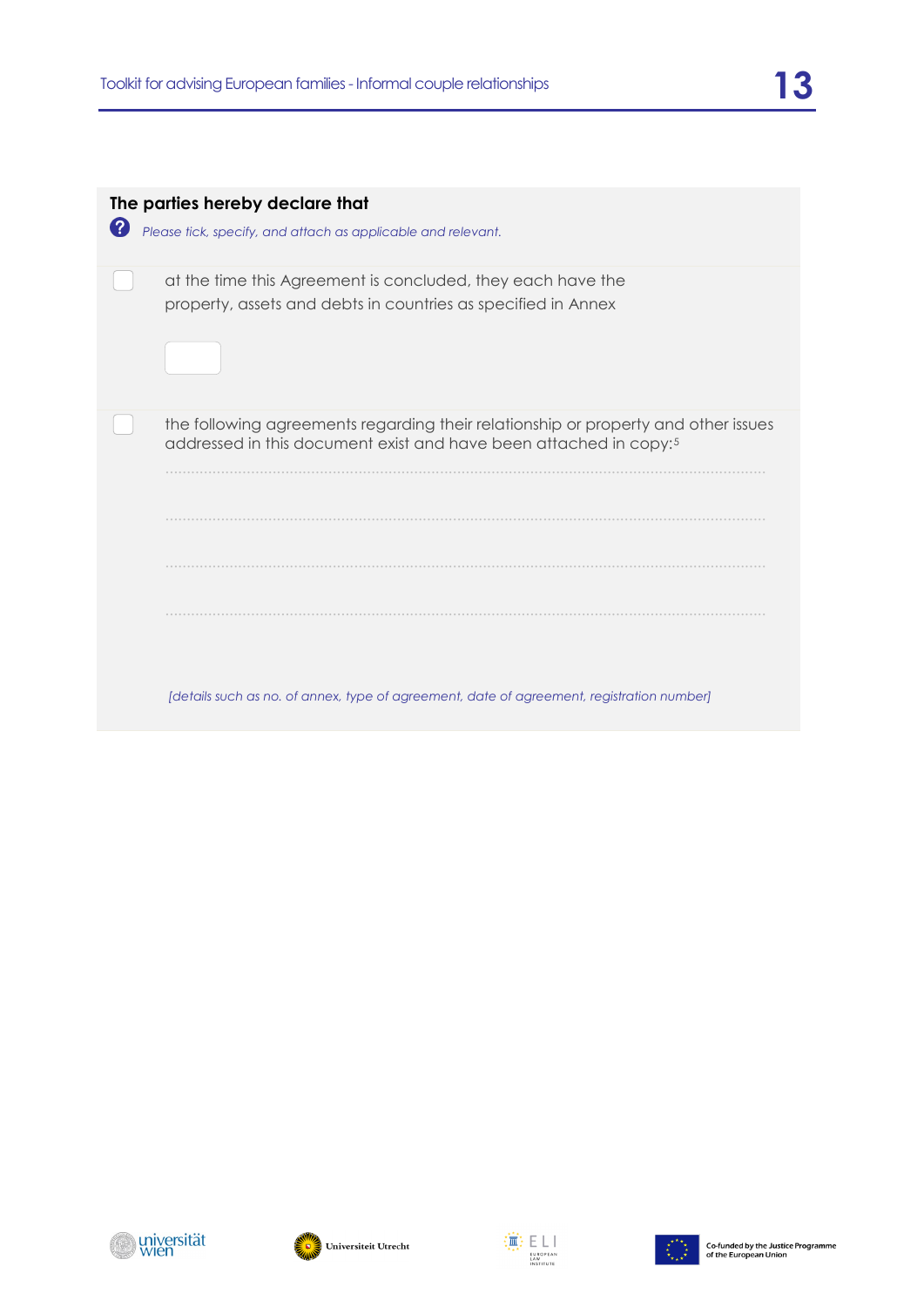| 2 | The parties hereby declare that<br>Please tick, specify, and attach as applicable and relevant.                                                                                                                                                                  |
|---|------------------------------------------------------------------------------------------------------------------------------------------------------------------------------------------------------------------------------------------------------------------|
|   | at the time this Agreement is concluded, they each have the<br>property, assets and debts in countries as specified in Annex                                                                                                                                     |
|   | the following agreements regarding their relationship or property and other issues<br>addressed in this document exist and have been attached in copy: <sup>5</sup><br>[details such as no. of annex, type of agreement, date of agreement, registration number] |







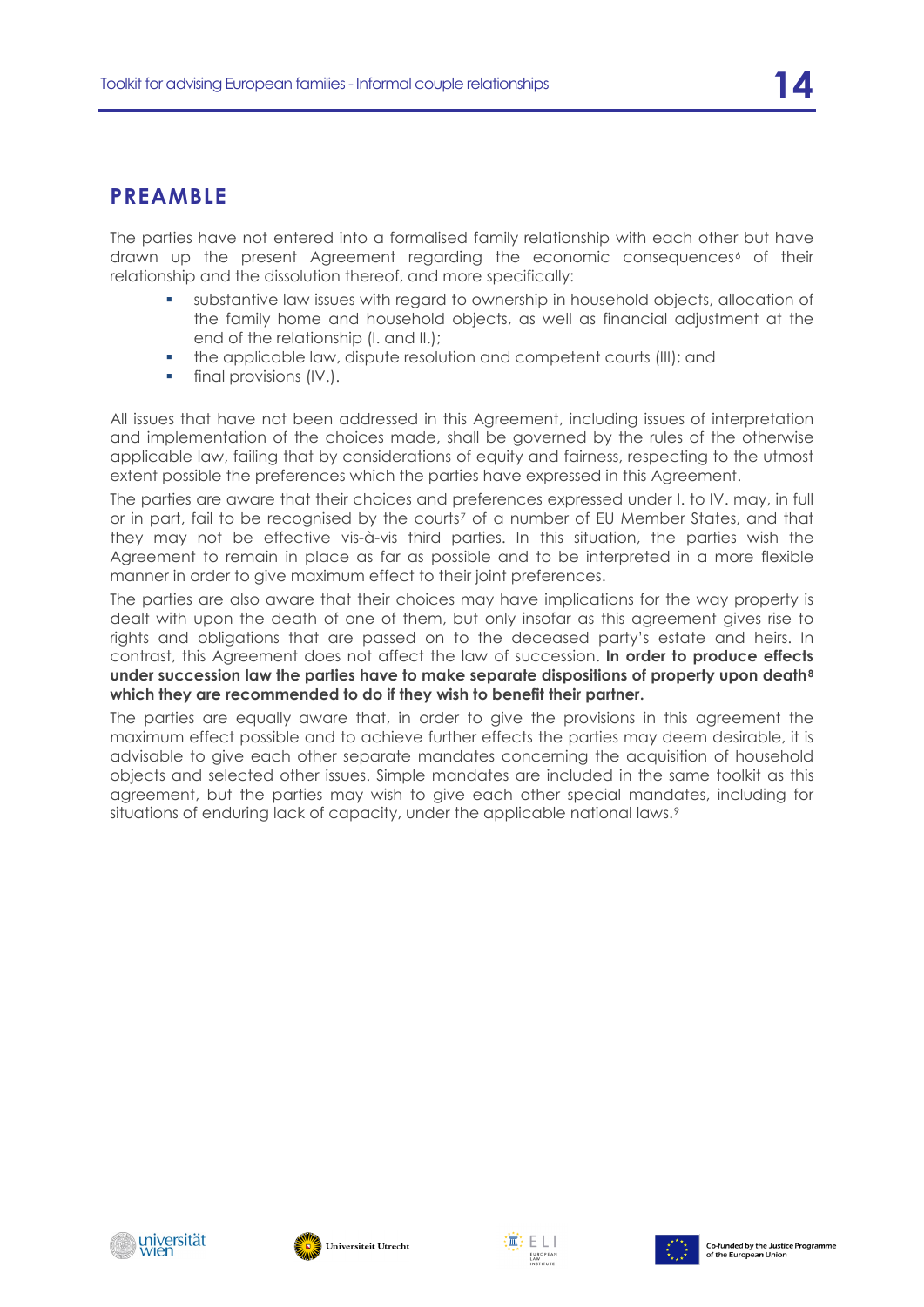### **PREAMBLE**

The parties have not entered into a formalised family relationship with each other but have drawn up the present Agreement regarding the economic consequences<sup>[6](#page-31-5)</sup> of their relationship and the dissolution thereof, and more specifically:

- substantive law issues with regard to ownership in household objects, allocation of the family home and household objects, as well as financial adjustment at the end of the relationship (I. and II.);
- the applicable law, dispute resolution and competent courts (III); and
- **final provisions (IV.).**

All issues that have not been addressed in this Agreement, including issues of interpretation and implementation of the choices made, shall be governed by the rules of the otherwise applicable law, failing that by considerations of equity and fairness, respecting to the utmost extent possible the preferences which the parties have expressed in this Agreement.

The parties are aware that their choices and preferences expressed under I. to IV. may, in full or in part, fail to be recognised by the courts<sup>[7](#page-31-6)</sup> of a number of EU Member States, and that they may not be effective vis-à-vis third parties. In this situation, the parties wish the Agreement to remain in place as far as possible and to be interpreted in a more flexible manner in order to give maximum effect to their joint preferences.

The parties are also aware that their choices may have implications for the way property is dealt with upon the death of one of them, but only insofar as this agreement gives rise to rights and obligations that are passed on to the deceased party's estate and heirs. In contrast, this Agreement does not affect the law of succession. **In order to produce effects under succession law the parties have to make separate dispositions of property upon death[8](#page-31-7) which they are recommended to do if they wish to benefit their partner.**

The parties are equally aware that, in order to give the provisions in this agreement the maximum effect possible and to achieve further effects the parties may deem desirable, it is advisable to give each other separate mandates concerning the acquisition of household objects and selected other issues. Simple mandates are included in the same toolkit as this agreement, but the parties may wish to give each other special mandates, including for situations of enduring lack of capacity, under the applicable national laws.<sup>[9](#page-32-0)</sup>







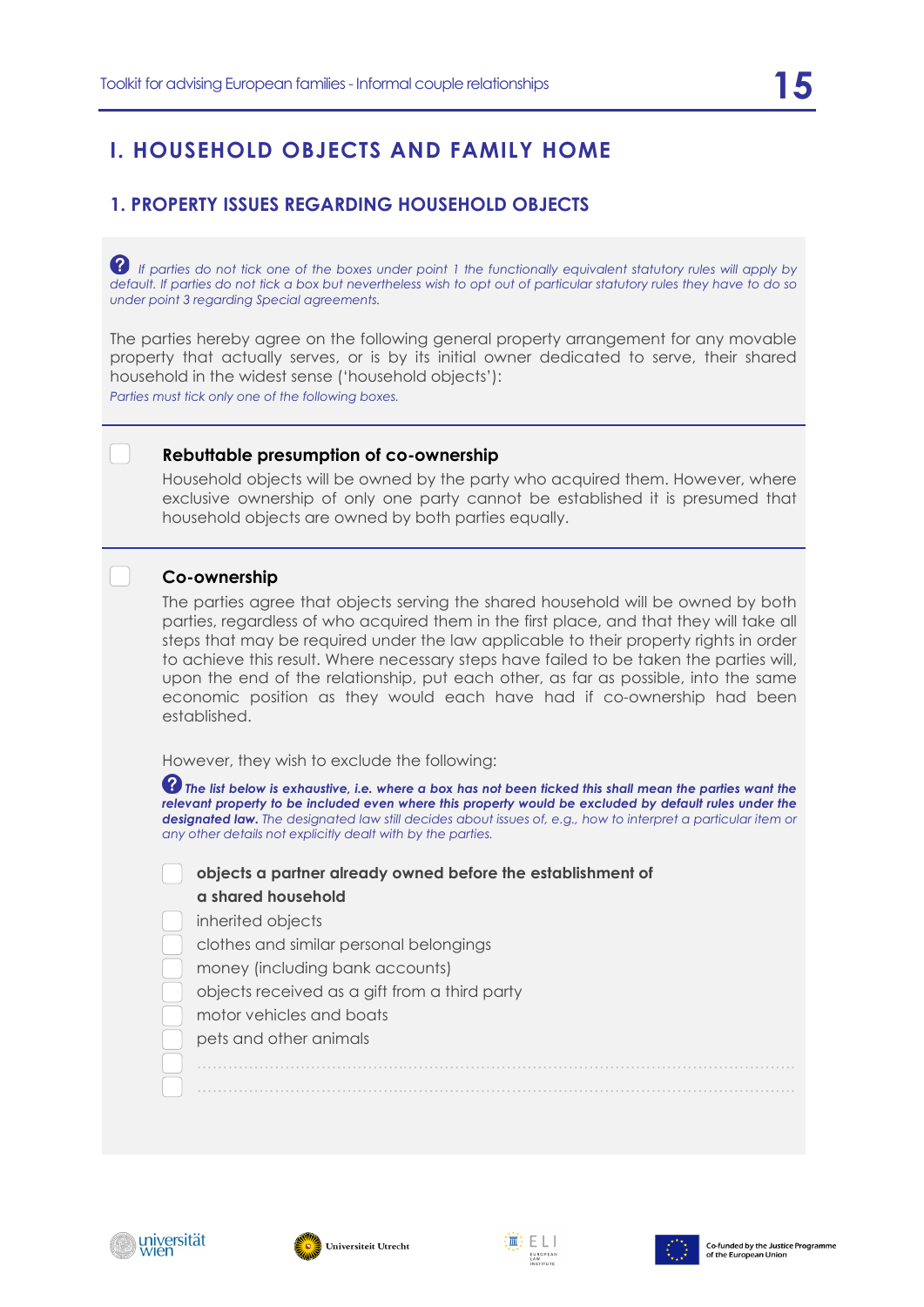# **I. HOUSEHOLD OBJECTS AND FAMILY HOME**

#### **1. PROPERTY ISSUES REGARDING HOUSEHOLD OBJECTS**

*P* If parties do not tick one of the boxes under point 1 the functionally equivalent statutory rules will apply by *default. If parties do not tick a box but nevertheless wish to opt out of particular statutory rules they have to do so under point 3 regarding Special agreements.*

The parties hereby agree on the following general property arrangement for any movable property that actually serves, or is by its initial owner dedicated to serve, their shared household in the widest sense ('household objects'):

*Parties must tick only one of the following boxes.*

#### **Rebuttable presumption of co-ownership**

Household objects will be owned by the party who acquired them. However, where exclusive ownership of only one party cannot be established it is presumed that household objects are owned by both parties equally.

#### **Co-ownership**

The parties agree that objects serving the shared household will be owned by both parties, regardless of who acquired them in the first place, and that they will take all steps that may be required under the law applicable to their property rights in order to achieve this result. Where necessary steps have failed to be taken the parties will, upon the end of the relationship, put each other, as far as possible, into the same economic position as they would each have had if co-ownership had been established.

However, they wish to exclude the following:

 $\,bullet\,$  The list below is exhaustive, i.e. where a box has not been ticked this shall mean the parties want the *relevant property to be included even where this property would be excluded by default rules under the designated law. The designated law still decides about issues of, e.g., how to interpret a particular item or any other details not explicitly dealt with by the parties.*

 ………………………………….…………………………………………………………………. ………………………………….………………………………………………………………….

**objects a partner already owned before the establishment of** 

#### **a shared household**

inherited objects

- clothes and similar personal belongings
- money (including bank accounts)
- objects received as a gift from a third party
- motor vehicles and boats
- pets and other animals







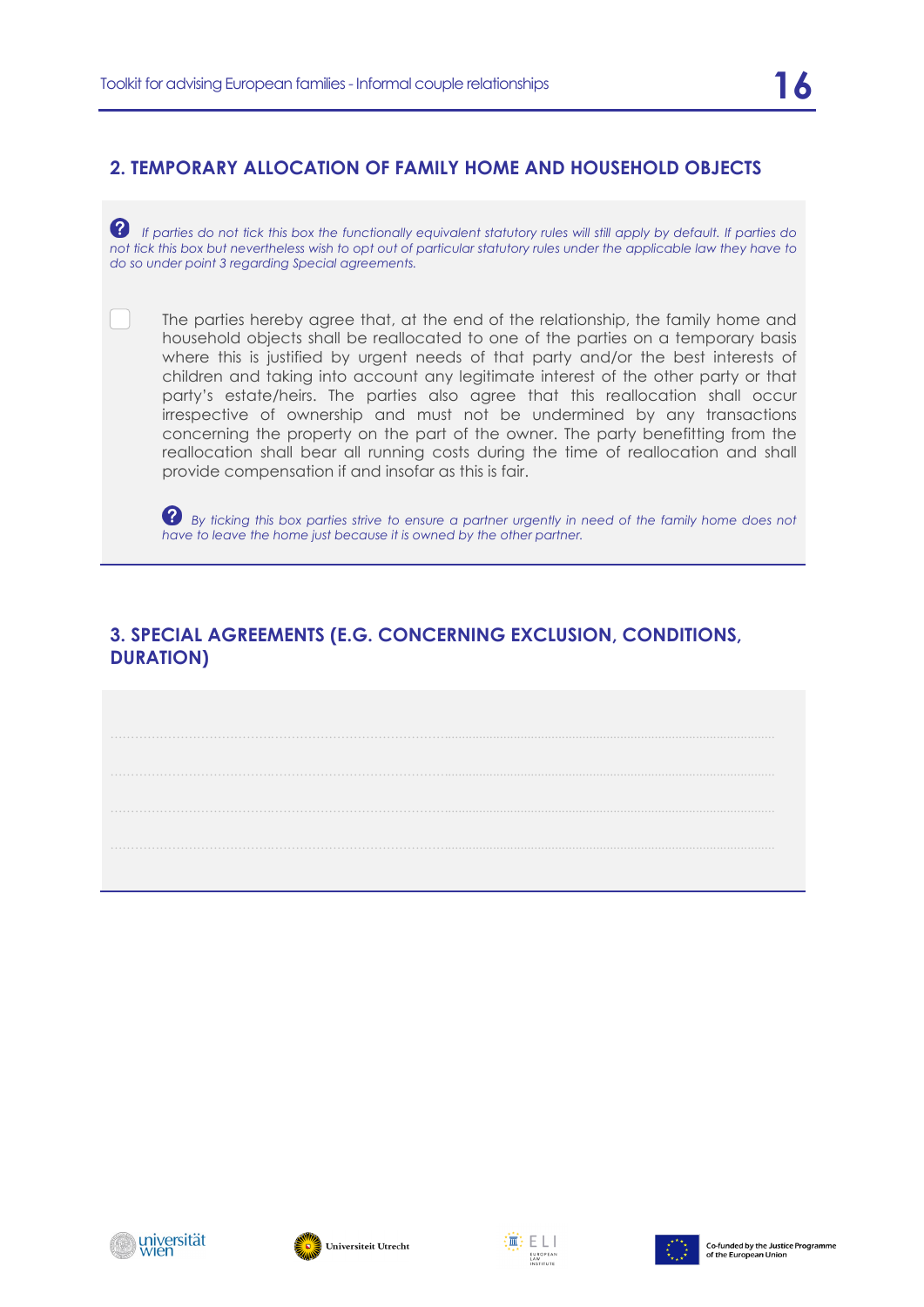#### **2. TEMPORARY ALLOCATION OF FAMILY HOME AND HOUSEHOLD OBJECTS**

 *If parties do not tick this box the functionally equivalent statutory rules will still apply by default. If parties do not tick this box but nevertheless wish to opt out of particular statutory rules under the applicable law they have to do so under point 3 regarding Special agreements.*

The parties hereby agree that, at the end of the relationship, the family home and household objects shall be reallocated to one of the parties on a temporary basis where this is justified by urgent needs of that party and/or the best interests of children and taking into account any legitimate interest of the other party or that party's estate/heirs. The parties also agree that this reallocation shall occur irrespective of ownership and must not be undermined by any transactions concerning the property on the part of the owner. The party benefitting from the reallocation shall bear all running costs during the time of reallocation and shall provide compensation if and insofar as this is fair.

 *By ticking this box parties strive to ensure a partner urgently in need of the family home does not have to leave the home just because it is owned by the other partner.*

#### **3. SPECIAL AGREEMENTS (E.G. CONCERNING EXCLUSION, CONDITIONS, DURATION)**







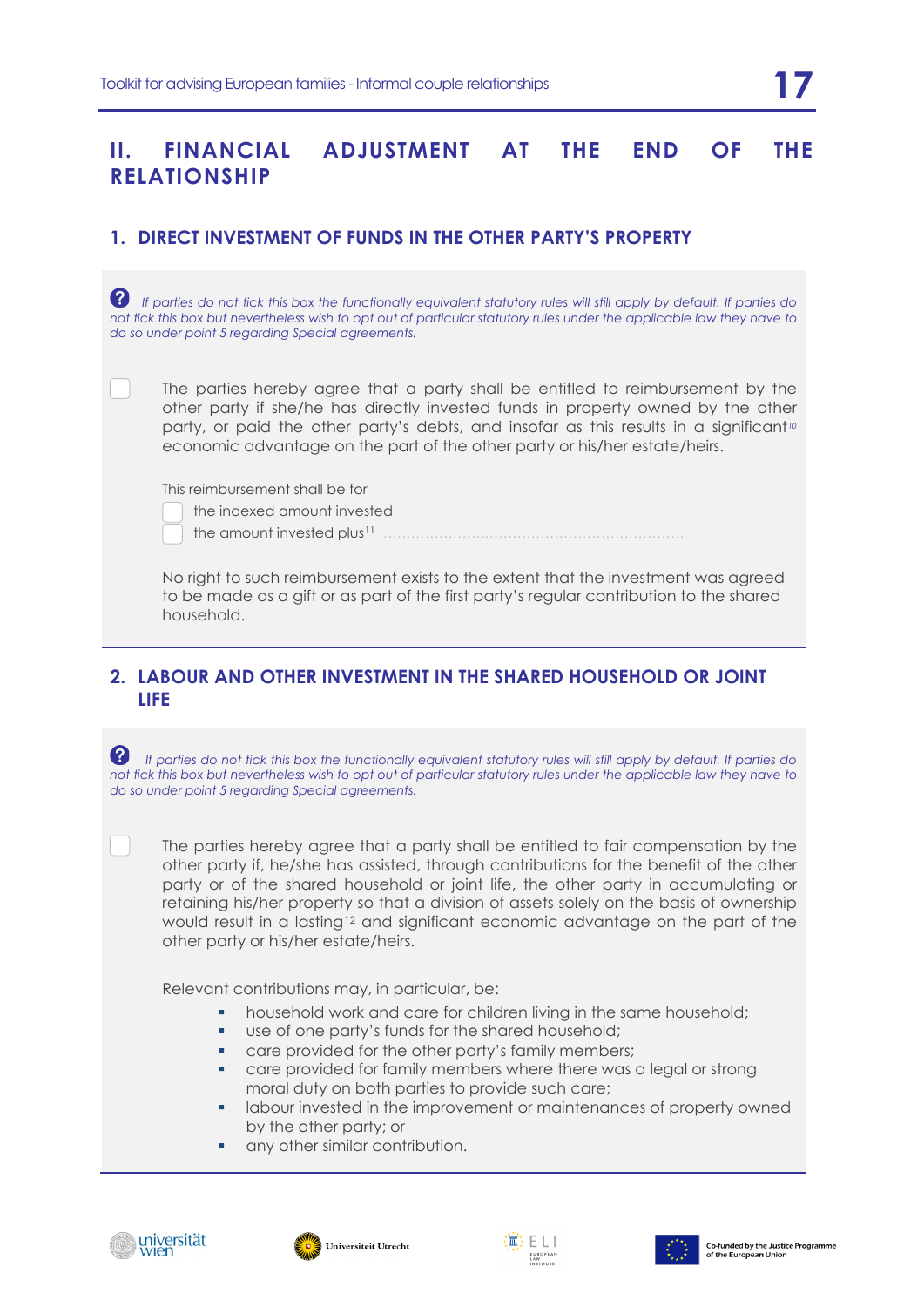#### **II. FINANCIAL ADJUSTMENT AT THE END OF THE RELATIONSHIP**

#### **1. DIRECT INVESTMENT OF FUNDS IN THE OTHER PARTY'S PROPERTY**

 *If parties do not tick this box the functionally equivalent statutory rules will still apply by default. If parties do not tick this box but nevertheless wish to opt out of particular statutory rules under the applicable law they have to do so under point 5 regarding Special agreements.*

The parties hereby agree that a party shall be entitled to reimbursement by the other party if she/he has directly invested funds in property owned by the other party, or paid the other party's debts, and insofar as this results in a significant*[10](#page-32-1)* economic advantage on the part of the other party or his/her estate/heirs.

This reimbursement shall be for

| the indexed amount invested |  |
|-----------------------------|--|
|                             |  |

the amount invested plus[11](#page-32-2) ………………….…………………………………….

No right to such reimbursement exists to the extent that the investment was agreed to be made as a gift or as part of the first party's regular contribution to the shared household.

#### **2. LABOUR AND OTHER INVESTMENT IN THE SHARED HOUSEHOLD OR JOINT LIFE**

 *If parties do not tick this box the functionally equivalent statutory rules will still apply by default. If parties do not tick this box but nevertheless wish to opt out of particular statutory rules under the applicable law they have to do so under point 5 regarding Special agreements.*

The parties hereby agree that a party shall be entitled to fair compensation by the other party if, he/she has assisted, through contributions for the benefit of the other party or of the shared household or joint life, the other party in accumulating or retaining his/her property so that a division of assets solely on the basis of ownership would result in a lasting<sup>[12](#page-32-3)</sup> and significant economic advantage on the part of the other party or his/her estate/heirs.

Relevant contributions may, in particular, be:

- **•** household work and care for children living in the same household;
- use of one party's funds for the shared household;
- **care provided for the other party's family members;**
- **•** care provided for family members where there was a legal or strong moral duty on both parties to provide such care;
- labour invested in the improvement or maintenances of property owned by the other party; or
- any other similar contribution.







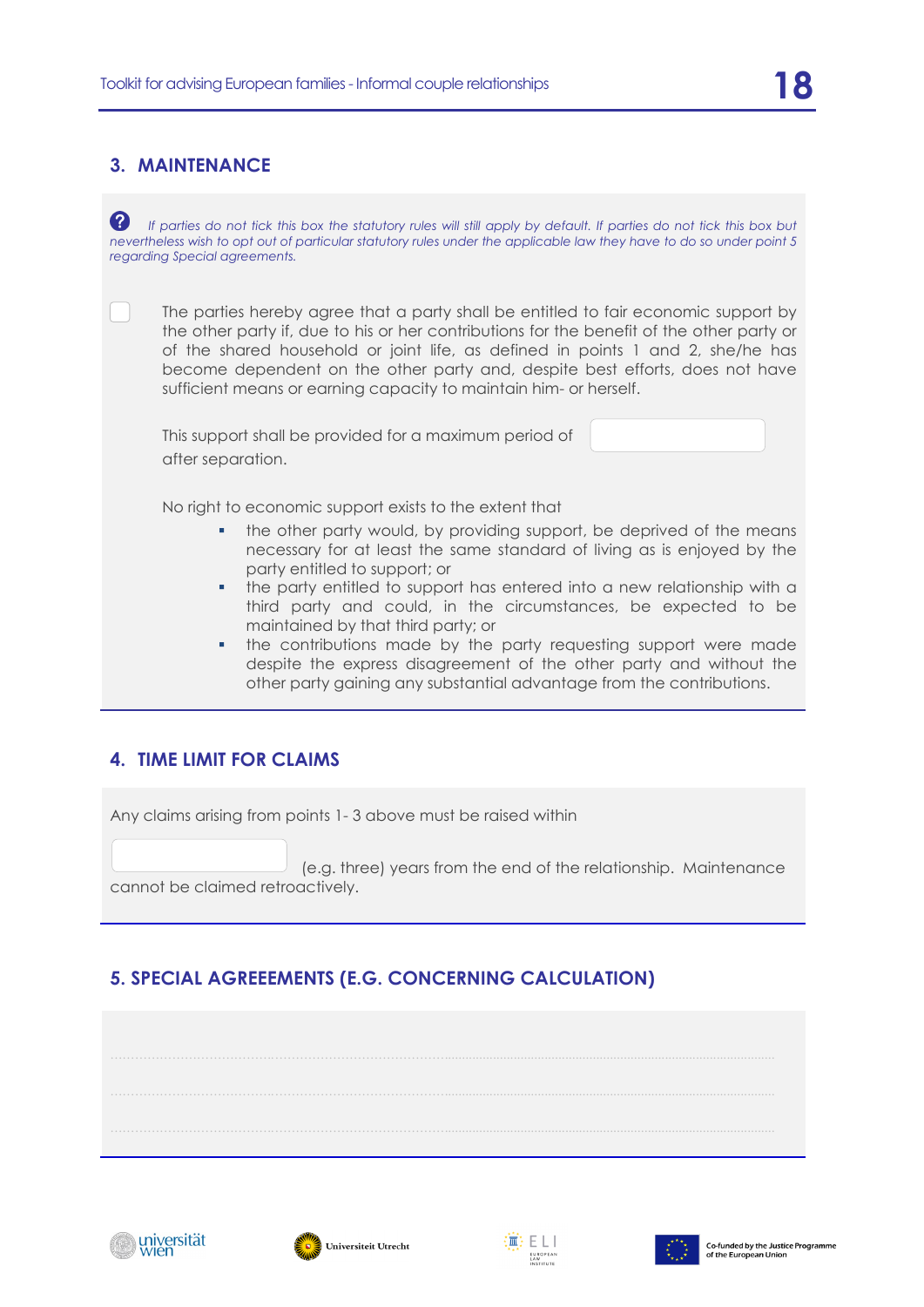#### **3. MAINTENANCE**

**<sup>2</sup>** If parties do not tick this box the statutory rules will still apply by default. If parties do not tick this box but *nevertheless wish to opt out of particular statutory rules under the applicable law they have to do so under point 5 regarding Special agreements.*

The parties hereby agree that a party shall be entitled to fair economic support by the other party if, due to his or her contributions for the benefit of the other party or of the shared household or joint life, as defined in points 1 and 2, she/he has become dependent on the other party and, despite best efforts, does not have sufficient means or earning capacity to maintain him- or herself.

This support shall be provided for a maximum period of after separation.

No right to economic support exists to the extent that

- the other party would, by providing support, be deprived of the means necessary for at least the same standard of living as is enjoyed by the party entitled to support; or
- the party entitled to support has entered into a new relationship with a third party and could, in the circumstances, be expected to be maintained by that third party; or
- the contributions made by the party requesting support were made despite the express disagreement of the other party and without the other party gaining any substantial advantage from the contributions.

#### **4. TIME LIMIT FOR CLAIMS**

Any claims arising from points 1- 3 above must be raised within

(e.g. three) years from the end of the relationship. Maintenance cannot be claimed retroactively.

### **5. SPECIAL AGREEEMENTS (E.G. CONCERNING CALCULATION)**







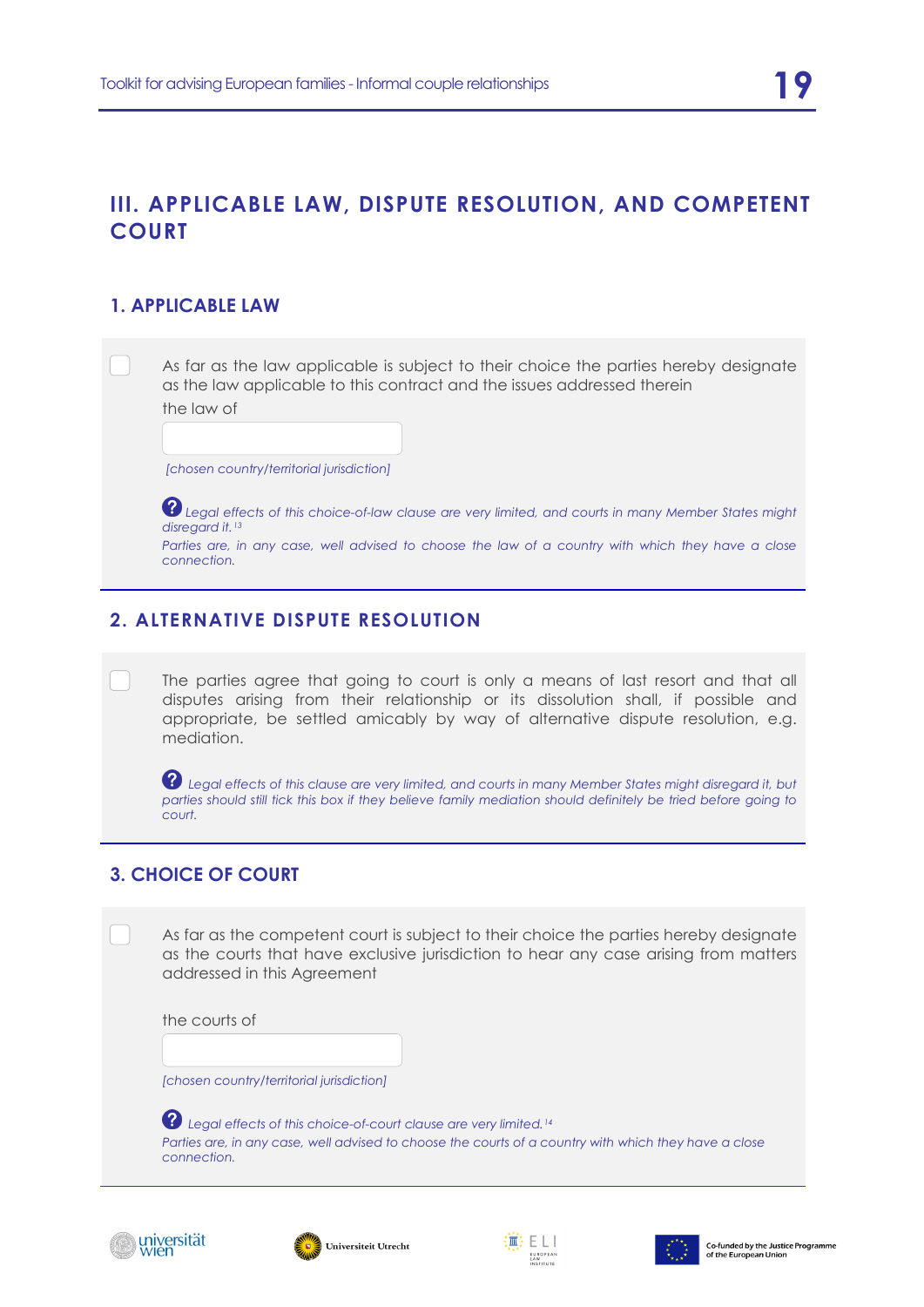### **III. APPLICABLE LAW, DISPUTE RESOLUTION, AND COMPETENT COURT**

#### **1. APPLICABLE LAW**

As far as the law applicable is subject to their choice the parties hereby designate as the law applicable to this contract and the issues addressed therein

the law of

*[chosen country/territorial jurisdiction]*

*Legal effects of this choice-of-law clause are very limited, and courts in many Member States might disregard it.[13](#page-32-4)*

*Parties are, in any case, well advised to choose the law of a country with which they have a close connection.*

#### **2. ALTERNATIVE DISPUTE RESOLUTION**

The parties agree that going to court is only a means of last resort and that all disputes arising from their relationship or its dissolution shall, if possible and appropriate, be settled amicably by way of alternative dispute resolution, e.g. mediation.

 *Legal effects of this clause are very limited, and courts in many Member States might disregard it, but*  parties should still tick this box if they believe family mediation should definitely be tried before going to *court.*

### **3. CHOICE OF COURT**

As far as the competent court is subject to their choice the parties hereby designate as the courts that have exclusive jurisdiction to hear any case arising from matters addressed in this Agreement

the courts of

*[chosen country/territorial jurisdiction]*

*Legal effects of this choice-of-court clause are very limited.[14](#page-32-5) Parties are, in any case, well advised to choose the courts of a country with which they have a close connection.*







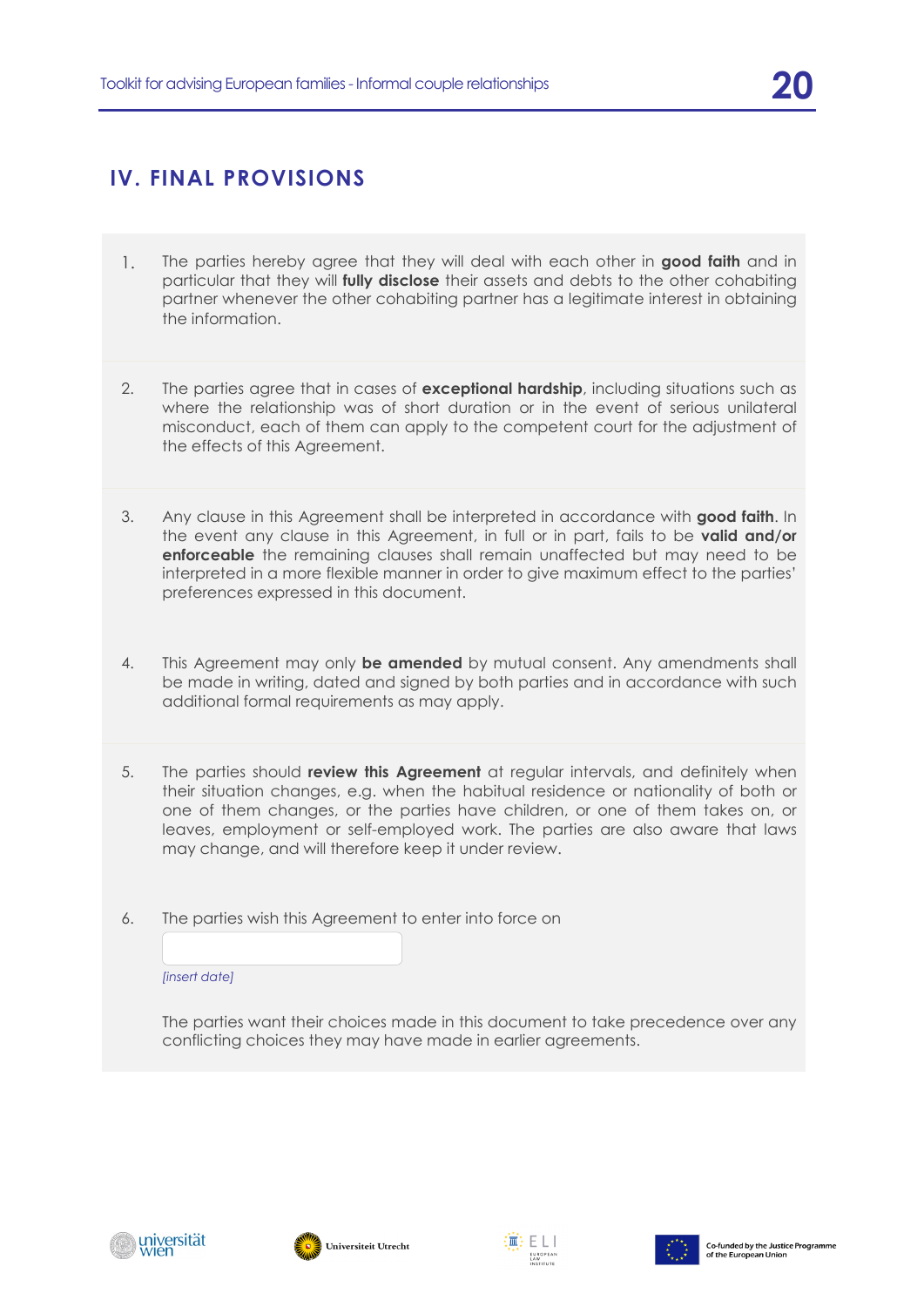# **IV. FINAL PROVISIONS**

- 1. The parties hereby agree that they will deal with each other in **good faith** and in particular that they will **fully disclose** their assets and debts to the other cohabiting partner whenever the other cohabiting partner has a legitimate interest in obtaining the information.
- 2. The parties agree that in cases of **exceptional hardship**, including situations such as where the relationship was of short duration or in the event of serious unilateral misconduct, each of them can apply to the competent court for the adjustment of the effects of this Agreement.
- 3. Any clause in this Agreement shall be interpreted in accordance with **good faith**. In the event any clause in this Agreement, in full or in part, fails to be **valid and/or enforceable** the remaining clauses shall remain unaffected but may need to be interpreted in a more flexible manner in order to give maximum effect to the parties' preferences expressed in this document.
- 4. This Agreement may only **be amended** by mutual consent. Any amendments shall be made in writing, dated and signed by both parties and in accordance with such additional formal requirements as may apply.
- 5. The parties should **review this Agreement** at regular intervals, and definitely when their situation changes, e.g. when the habitual residence or nationality of both or one of them changes, or the parties have children, or one of them takes on, or leaves, employment or self-employed work. The parties are also aware that laws may change, and will therefore keep it under review.
- 6. The parties wish this Agreement to enter into force on



The parties want their choices made in this document to take precedence over any conflicting choices they may have made in earlier agreements.







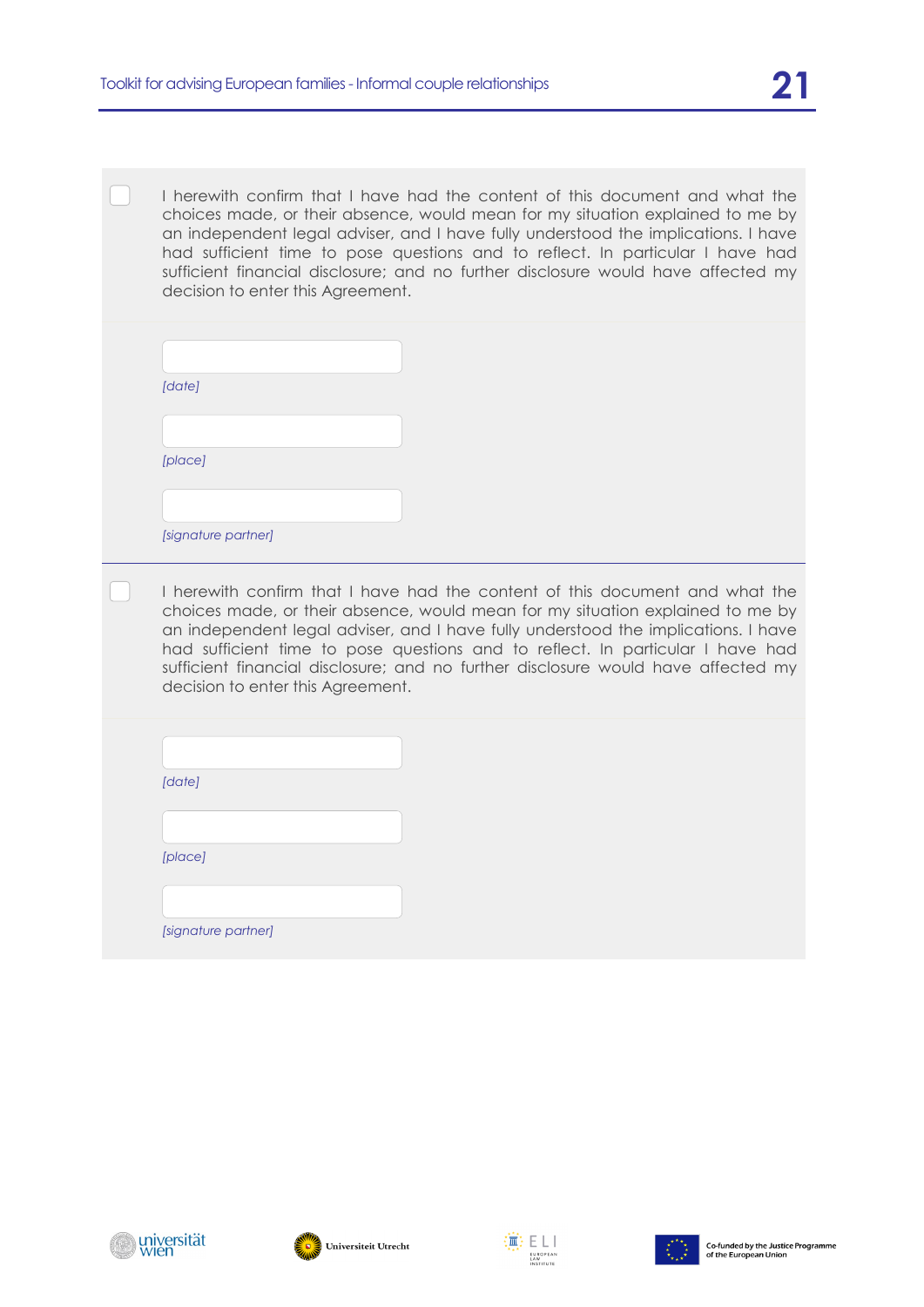I herewith confirm that I have had the content of this document and what the choices made, or their absence, would mean for my situation explained to me by an independent legal adviser, and I have fully understood the implications. I have had sufficient time to pose questions and to reflect. In particular I have had sufficient financial disclosure; and no further disclosure would have affected my decision to enter this Agreement.

| [date]  |  |
|---------|--|
|         |  |
|         |  |
| [place] |  |
|         |  |
|         |  |

I herewith confirm that I have had the content of this document and what the choices made, or their absence, would mean for my situation explained to me by an independent legal adviser, and I have fully understood the implications. I have had sufficient time to pose questions and to reflect. In particular I have had sufficient financial disclosure; and no further disclosure would have affected my decision to enter this Agreement.

| [date]  |
|---------|
|         |
|         |
| [place] |
|         |
|         |

*[signature partner]*

universität





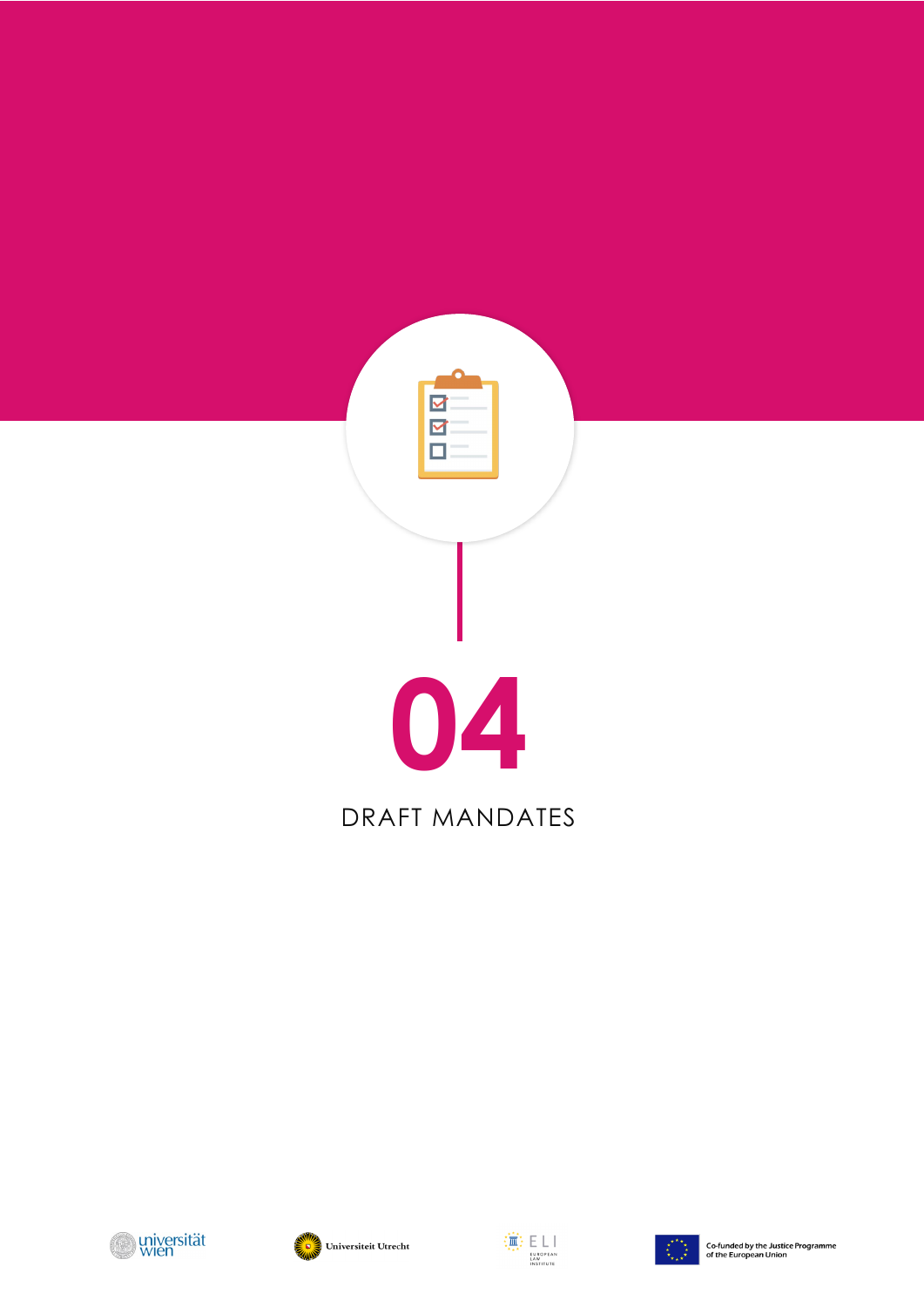







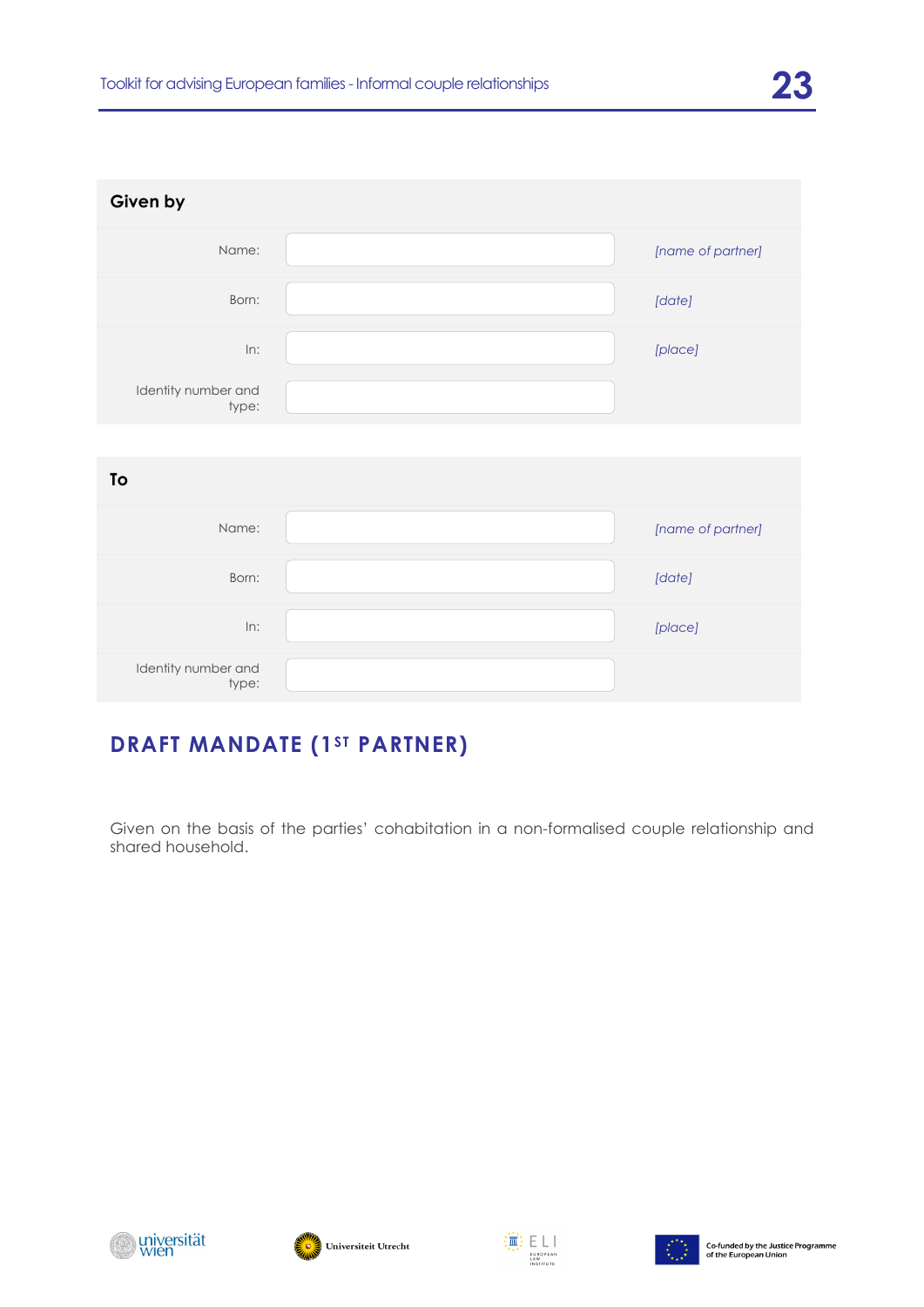| Given by                     |                   |
|------------------------------|-------------------|
| Name:                        | [name of partner] |
| Born:                        | [date]            |
| In:                          | [place]           |
| Identity number and<br>type: |                   |

| To                           |                   |
|------------------------------|-------------------|
| Name:                        | [name of partner] |
| Born:                        | [date]            |
| In:                          | [place]           |
| Identity number and<br>type: |                   |

# **DRAFT MANDATE (1ST PARTNER)**

Given on the basis of the parties' cohabitation in a non-formalised couple relationship and shared household.







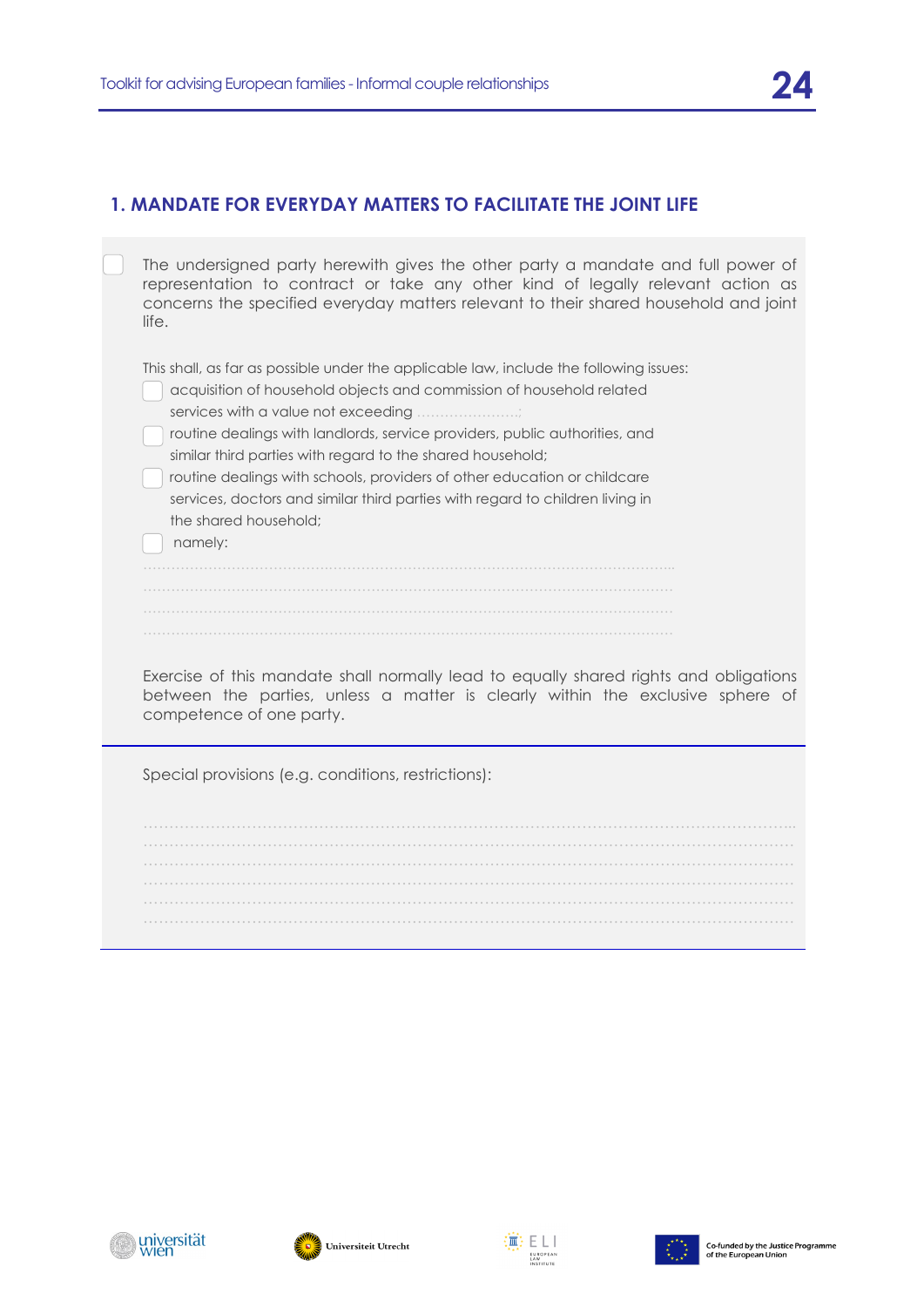#### **1. MANDATE FOR EVERYDAY MATTERS TO FACILITATE THE JOINT LIFE**

| The undersigned party herewith gives the other party a mandate and full power of<br>representation to contract or take any other kind of legally relevant action as<br>concerns the specified everyday matters relevant to their shared household and joint<br>life.                                                                                                                                                                                                                                                                                |
|-----------------------------------------------------------------------------------------------------------------------------------------------------------------------------------------------------------------------------------------------------------------------------------------------------------------------------------------------------------------------------------------------------------------------------------------------------------------------------------------------------------------------------------------------------|
| This shall, as far as possible under the applicable law, include the following issues:<br>acquisition of household objects and commission of household related<br>services with a value not exceeding<br>routine dealings with landlords, service providers, public authorities, and<br>similar third parties with regard to the shared household;<br>routine dealings with schools, providers of other education or childcare<br>services, doctors and similar third parties with regard to children living in<br>the shared household:<br>namely: |
| Exercise of this mandate shall normally lead to equally shared rights and obligations<br>between the parties, unless a matter is clearly within the exclusive sphere of<br>competence of one party.                                                                                                                                                                                                                                                                                                                                                 |
| Special provisions (e.g. conditions, restrictions):                                                                                                                                                                                                                                                                                                                                                                                                                                                                                                 |
|                                                                                                                                                                                                                                                                                                                                                                                                                                                                                                                                                     |

………………………………………………………………………………………………………………







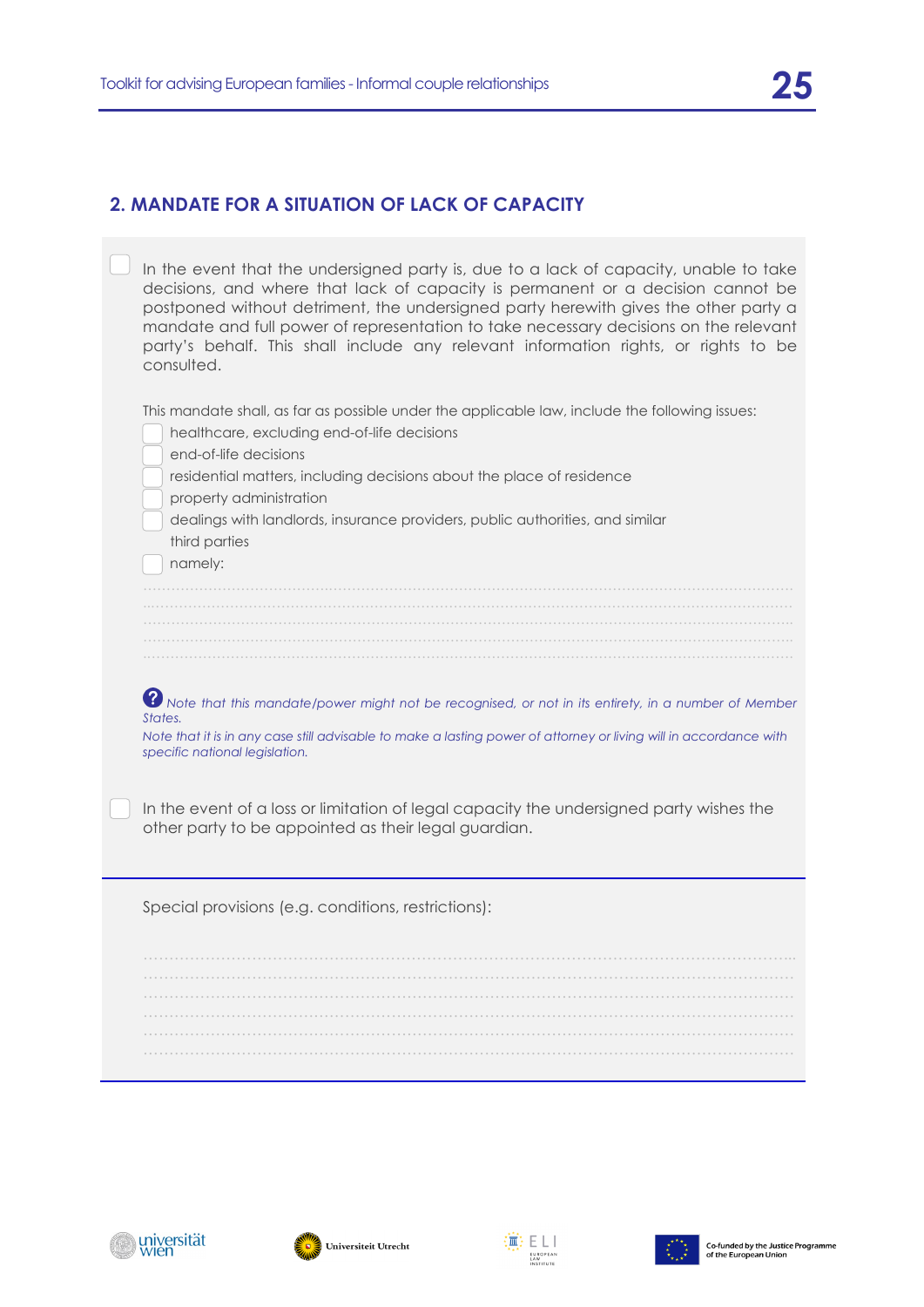#### **2. MANDATE FOR A SITUATION OF LACK OF CAPACITY**

| In the event that the undersigned party is, due to a lack of capacity, unable to take<br>decisions, and where that lack of capacity is permanent or a decision cannot be<br>postponed without detriment, the undersigned party herewith gives the other party a<br>mandate and full power of representation to take necessary decisions on the relevant<br>party's behalf. This shall include any relevant information rights, or rights to be<br>consulted. |
|--------------------------------------------------------------------------------------------------------------------------------------------------------------------------------------------------------------------------------------------------------------------------------------------------------------------------------------------------------------------------------------------------------------------------------------------------------------|
| This mandate shall, as far as possible under the applicable law, include the following issues:<br>healthcare, excluding end-of-life decisions<br>end-of-life decisions<br>residential matters, including decisions about the place of residence<br>property administration<br>dealings with landlords, insurance providers, public authorities, and similar                                                                                                  |
| third parties<br>namely:                                                                                                                                                                                                                                                                                                                                                                                                                                     |
| 8 Note that this mandate/power might not be recognised, or not in its entirety, in a number of Member<br>States.<br>Note that it is in any case still advisable to make a lasting power of attorney or living will in accordance with<br>specific national legislation.                                                                                                                                                                                      |
| In the event of a loss or limitation of legal capacity the undersigned party wishes the<br>other party to be appointed as their legal guardian.                                                                                                                                                                                                                                                                                                              |
| Special provisions (e.g. conditions, restrictions):                                                                                                                                                                                                                                                                                                                                                                                                          |
|                                                                                                                                                                                                                                                                                                                                                                                                                                                              |







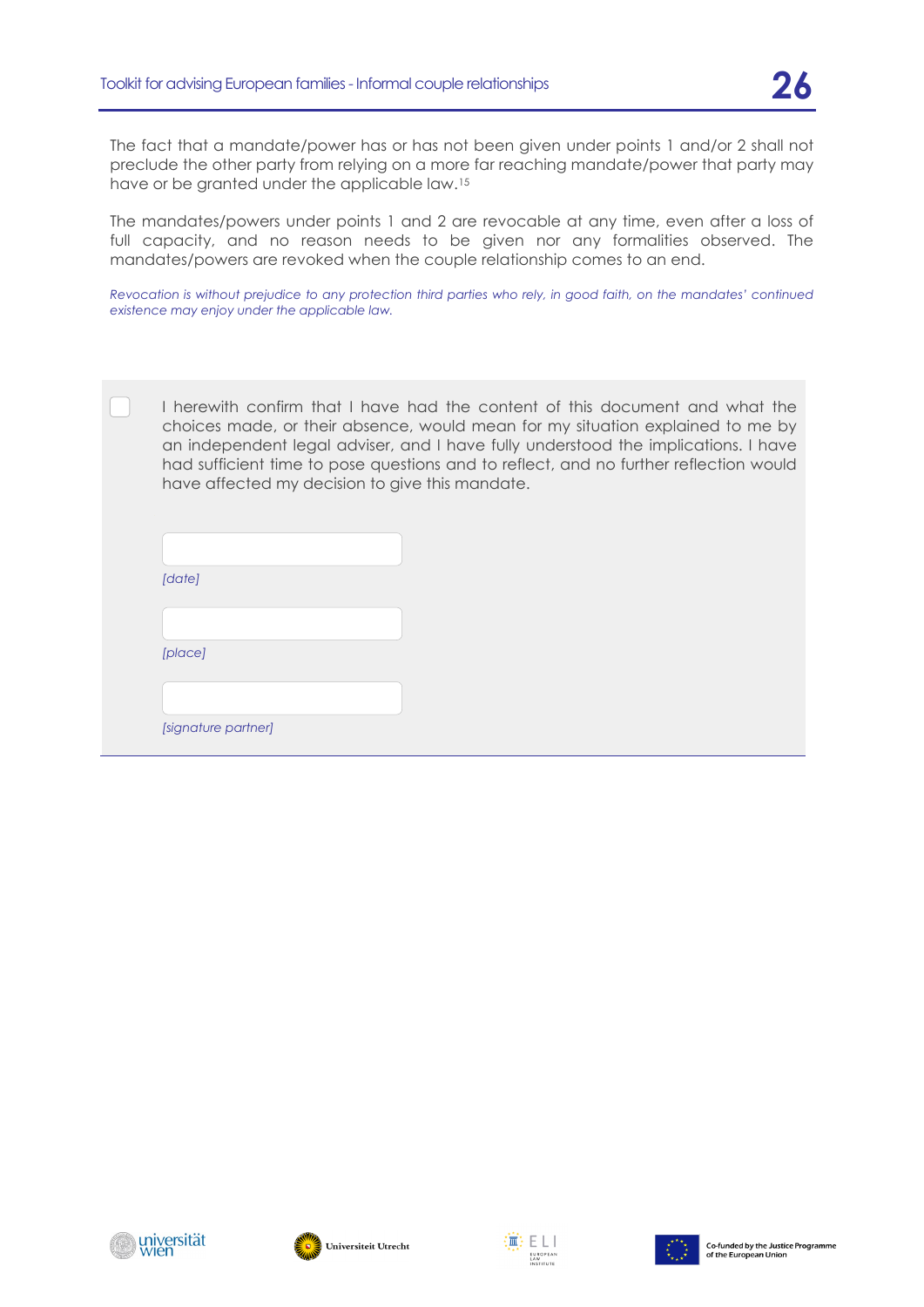The fact that a mandate/power has or has not been given under points 1 and/or 2 shall not preclude the other party from relying on a more far reaching mandate/power that party may have or be granted under the applicable law.[15](#page-33-0)

The mandates/powers under points 1 and 2 are revocable at any time, even after a loss of full capacity, and no reason needs to be given nor any formalities observed. The mandates/powers are revoked when the couple relationship comes to an end.

*Revocation is without prejudice to any protection third parties who rely, in good faith, on the mandates' continued existence may enjoy under the applicable law.*

I herewith confirm that I have had the content of this document and what the choices made, or their absence, would mean for my situation explained to me by an independent legal adviser, and I have fully understood the implications. I have had sufficient time to pose questions and to reflect, and no further reflection would have affected my decision to give this mandate.

| [date]              |
|---------------------|
|                     |
| [place]             |
|                     |
| [signature partner] |





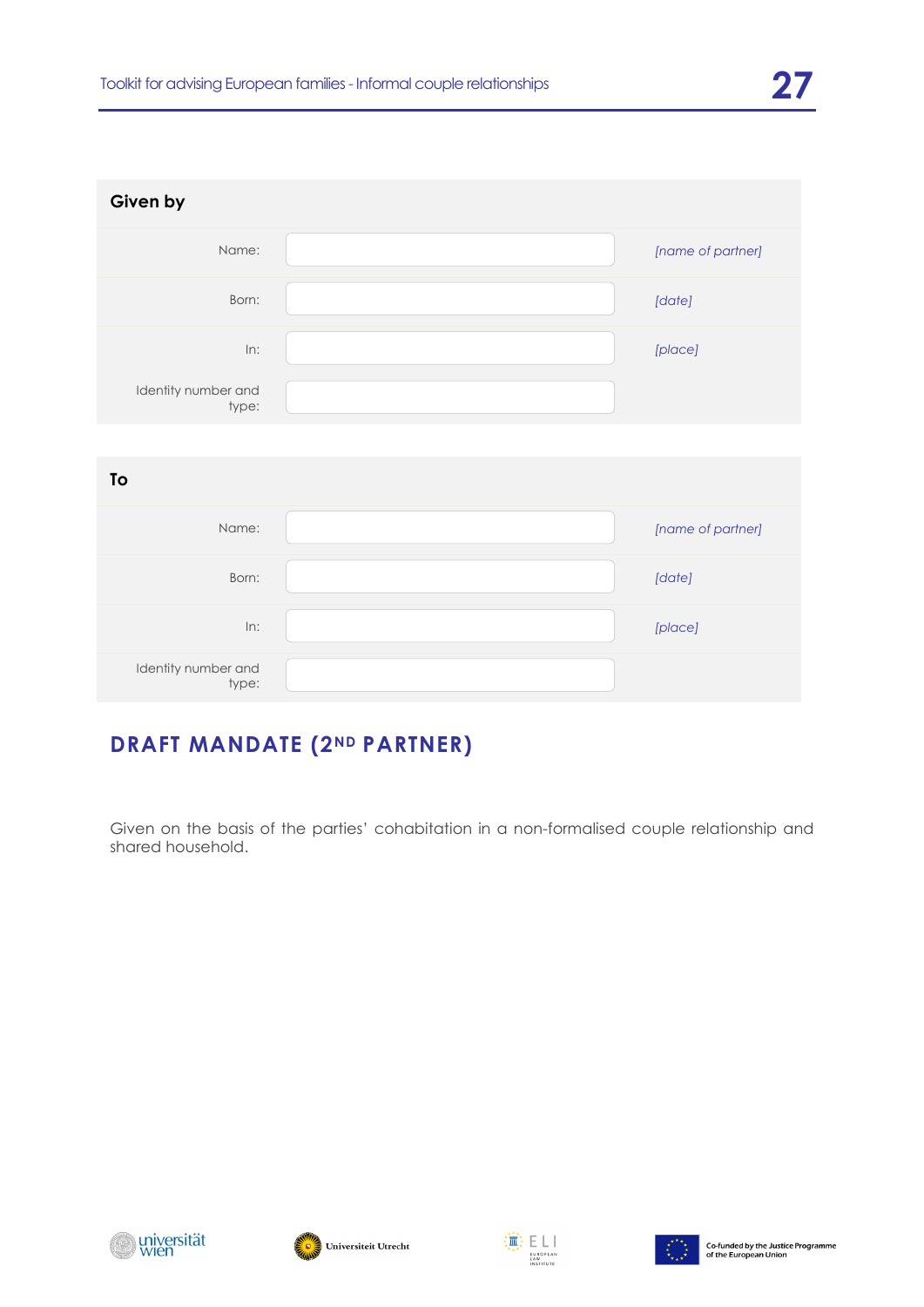| Given by                     |                   |
|------------------------------|-------------------|
| Name:                        | [name of partner] |
| Born:                        | [date]            |
| In:                          | [place]           |
| Identity number and<br>type: |                   |

| To                           |                   |
|------------------------------|-------------------|
| Name:                        | [name of partner] |
| Born:                        | [date]            |
| In:                          | [place]           |
| Identity number and<br>type: |                   |

# **DRAFT MANDATE (2ND PARTNER)**

Given on the basis of the parties' cohabitation in a non-formalised couple relationship and shared household.







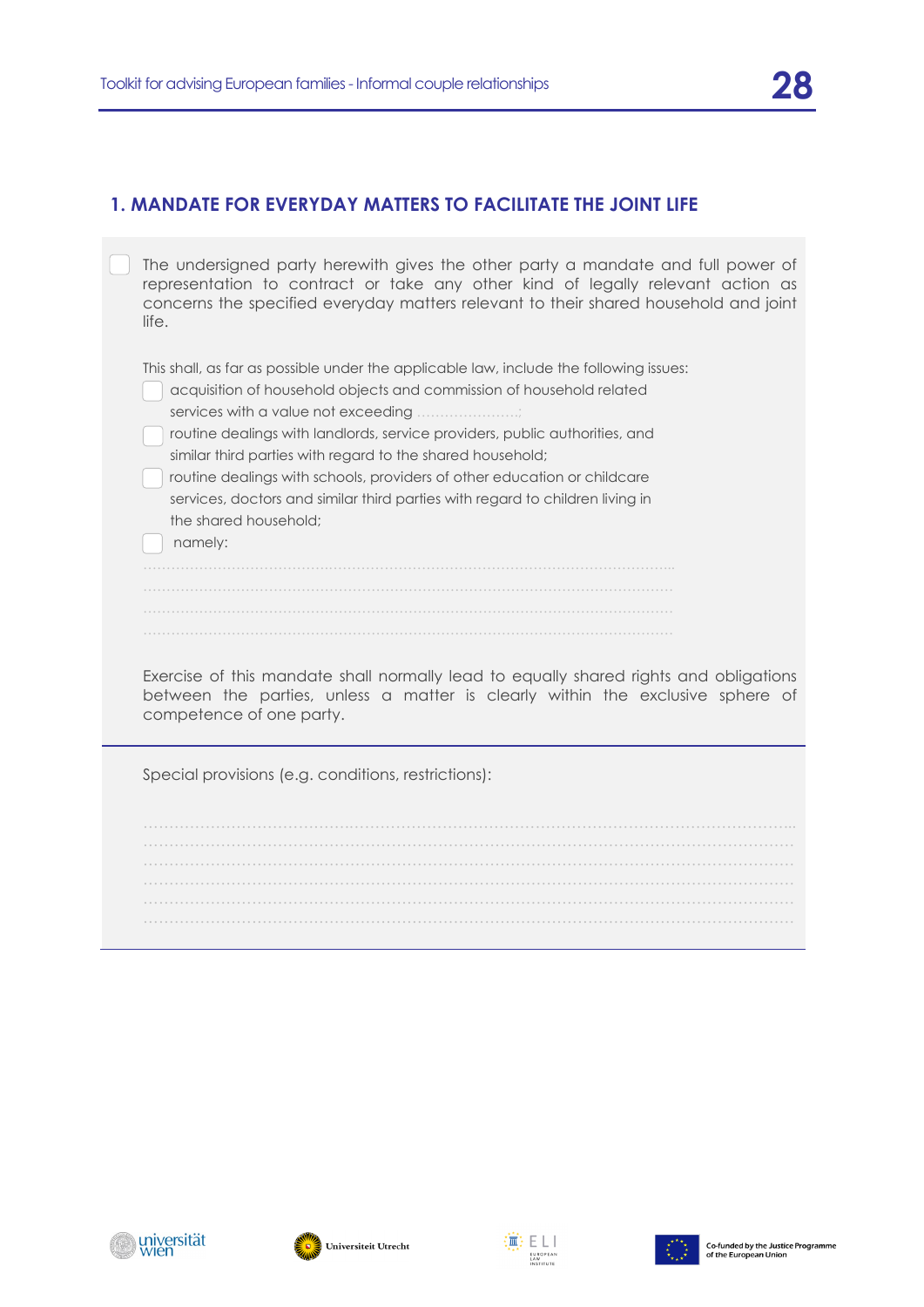#### **1. MANDATE FOR EVERYDAY MATTERS TO FACILITATE THE JOINT LIFE**

| The undersigned party herewith gives the other party a mandate and full power of<br>representation to contract or take any other kind of legally relevant action as<br>concerns the specified everyday matters relevant to their shared household and joint<br>life.                                                                                                                                                                                                                                                                                  |
|-------------------------------------------------------------------------------------------------------------------------------------------------------------------------------------------------------------------------------------------------------------------------------------------------------------------------------------------------------------------------------------------------------------------------------------------------------------------------------------------------------------------------------------------------------|
| This shall, as far as possible under the applicable law, include the following issues:<br>acquisition of household objects and commission of household related<br>services with a value not exceeding ;<br>routine dealings with landlords, service providers, public authorities, and<br>similar third parties with regard to the shared household;<br>routine dealings with schools, providers of other education or childcare<br>services, doctors and similar third parties with regard to children living in<br>the shared household:<br>namely: |
| Exercise of this mandate shall normally lead to equally shared rights and obligations<br>between the parties, unless a matter is clearly within the exclusive sphere of<br>competence of one party.                                                                                                                                                                                                                                                                                                                                                   |
| Special provisions (e.g. conditions, restrictions):                                                                                                                                                                                                                                                                                                                                                                                                                                                                                                   |
|                                                                                                                                                                                                                                                                                                                                                                                                                                                                                                                                                       |

……………………………………………………………………………………………………………… ………………………………………………………………………………………………………………







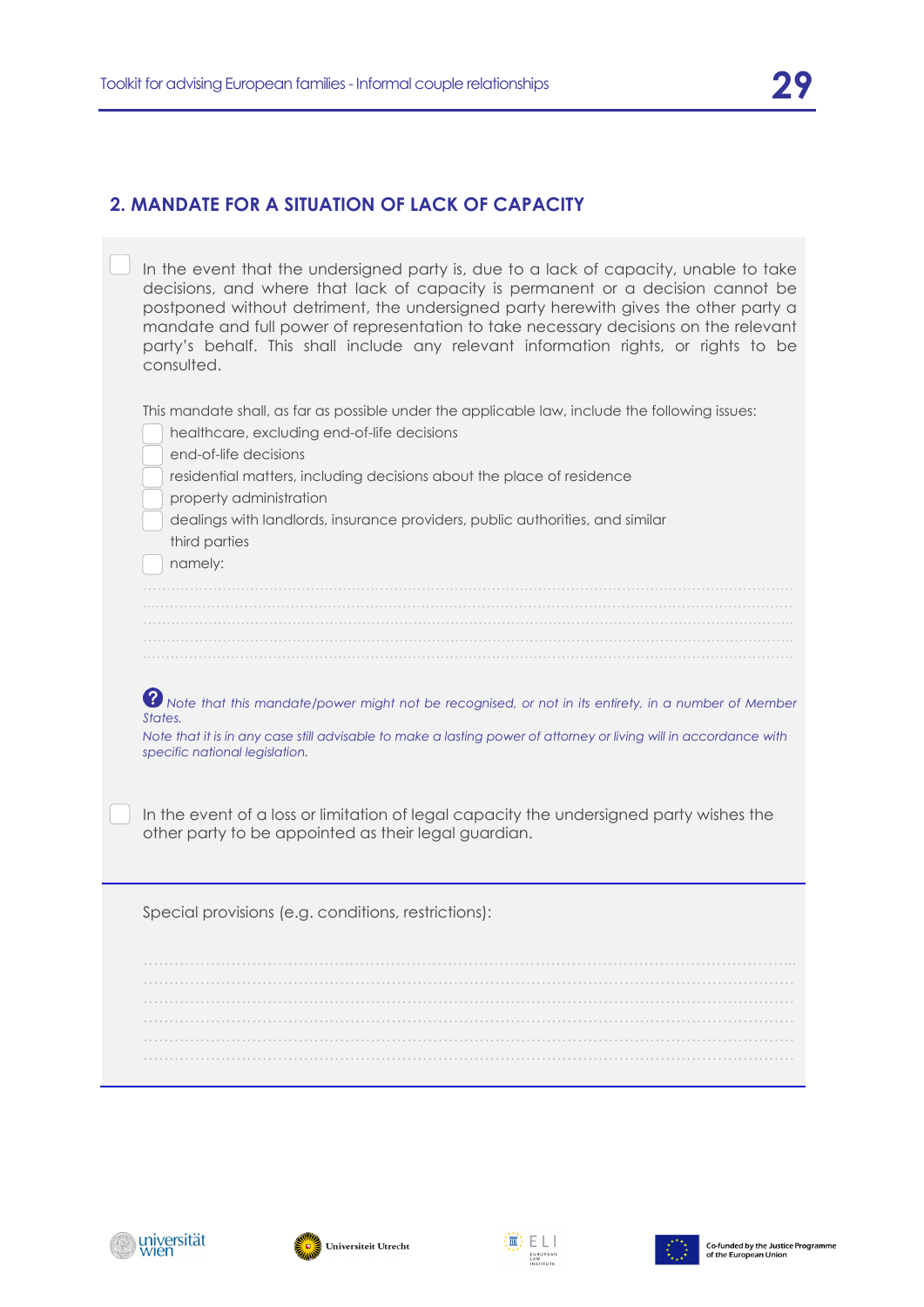#### **2. MANDATE FOR A SITUATION OF LACK OF CAPACITY**

| In the event that the undersigned party is, due to a lack of capacity, unable to take<br>decisions, and where that lack of capacity is permanent or a decision cannot be<br>postponed without detriment, the undersigned party herewith gives the other party a<br>mandate and full power of representation to take necessary decisions on the relevant<br>party's behalf. This shall include any relevant information rights, or rights to be<br>consulted. |
|--------------------------------------------------------------------------------------------------------------------------------------------------------------------------------------------------------------------------------------------------------------------------------------------------------------------------------------------------------------------------------------------------------------------------------------------------------------|
| This mandate shall, as far as possible under the applicable law, include the following issues:<br>healthcare, excluding end-of-life decisions<br>end-of-life decisions<br>residential matters, including decisions about the place of residence<br>property administration                                                                                                                                                                                   |
| dealings with landlords, insurance providers, public authorities, and similar<br>third parties<br>namely:                                                                                                                                                                                                                                                                                                                                                    |
| 8 Note that this mandate/power might not be recognised, or not in its entirety, in a number of Member<br>States.<br>Note that it is in any case still advisable to make a lasting power of attorney or living will in accordance with<br>specific national legislation.                                                                                                                                                                                      |
| In the event of a loss or limitation of legal capacity the undersigned party wishes the<br>other party to be appointed as their legal guardian.                                                                                                                                                                                                                                                                                                              |
| Special provisions (e.g. conditions, restrictions):                                                                                                                                                                                                                                                                                                                                                                                                          |
|                                                                                                                                                                                                                                                                                                                                                                                                                                                              |







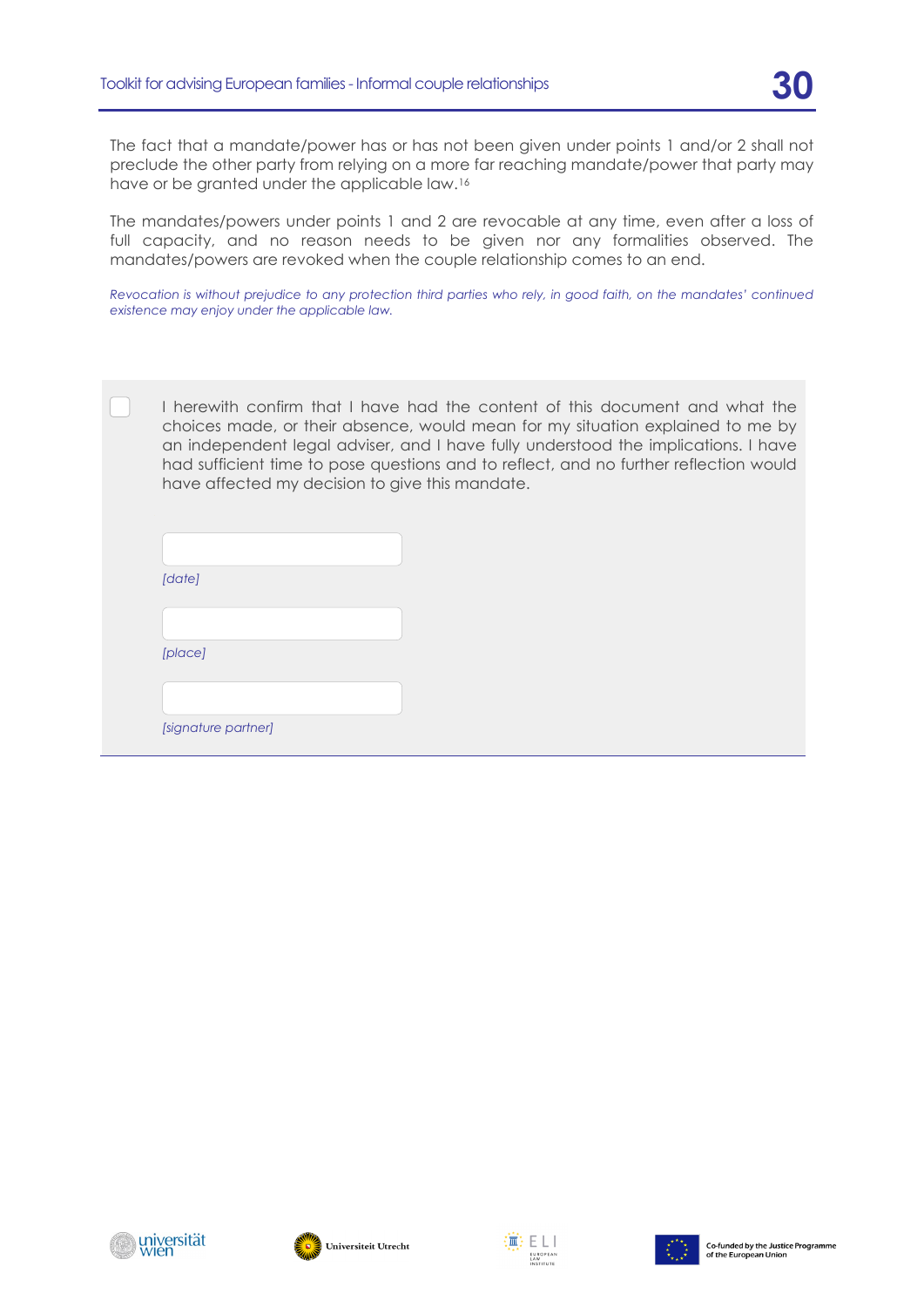The fact that a mandate/power has or has not been given under points 1 and/or 2 shall not preclude the other party from relying on a more far reaching mandate/power that party may have or be granted under the applicable law.[16](#page-33-1)

The mandates/powers under points 1 and 2 are revocable at any time, even after a loss of full capacity, and no reason needs to be given nor any formalities observed. The mandates/powers are revoked when the couple relationship comes to an end.

*Revocation is without prejudice to any protection third parties who rely, in good faith, on the mandates' continued existence may enjoy under the applicable law.*

I herewith confirm that I have had the content of this document and what the choices made, or their absence, would mean for my situation explained to me by an independent legal adviser, and I have fully understood the implications. I have had sufficient time to pose questions and to reflect, and no further reflection would have affected my decision to give this mandate.

| [date]  |  |
|---------|--|
|         |  |
|         |  |
| [place] |  |





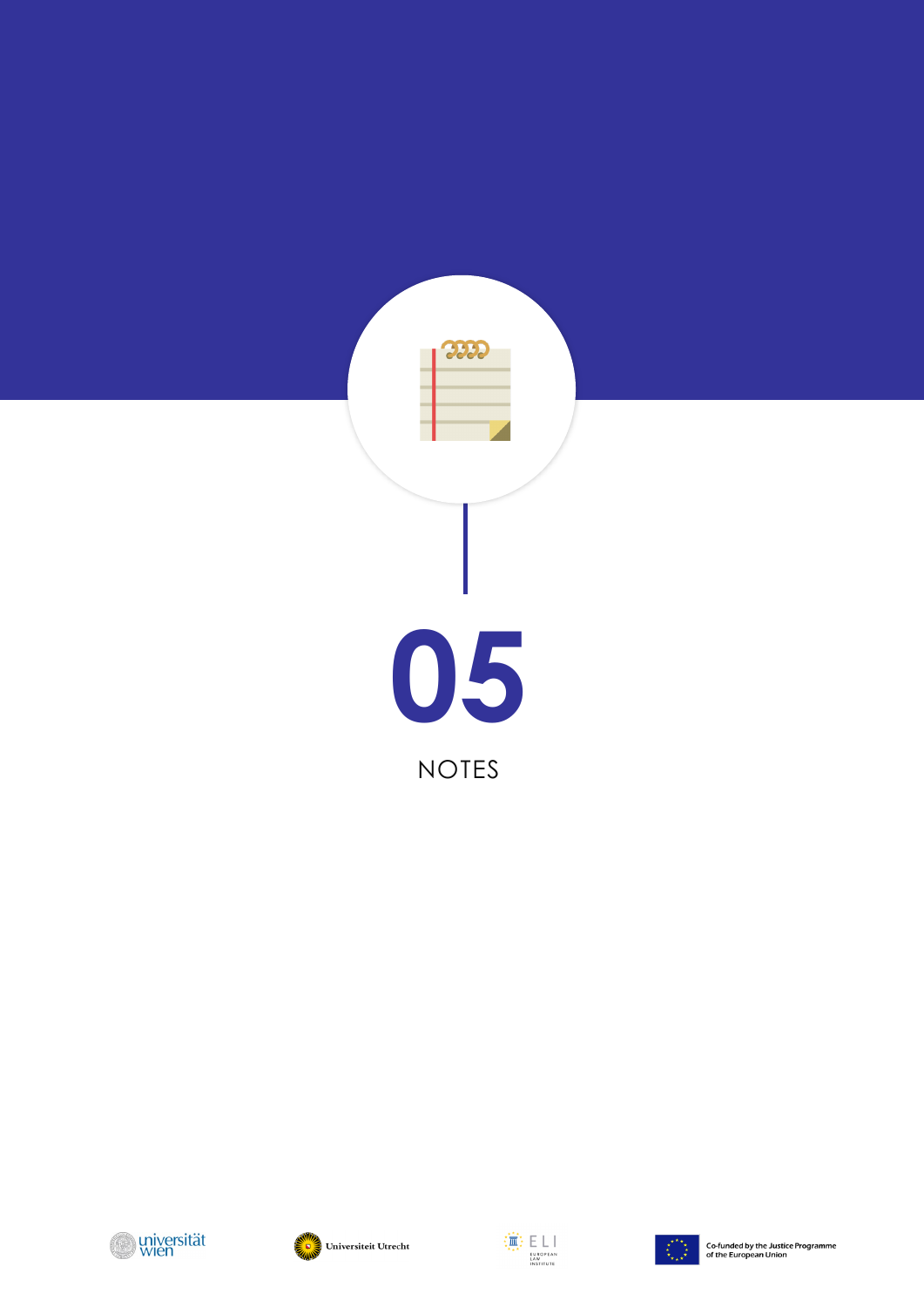







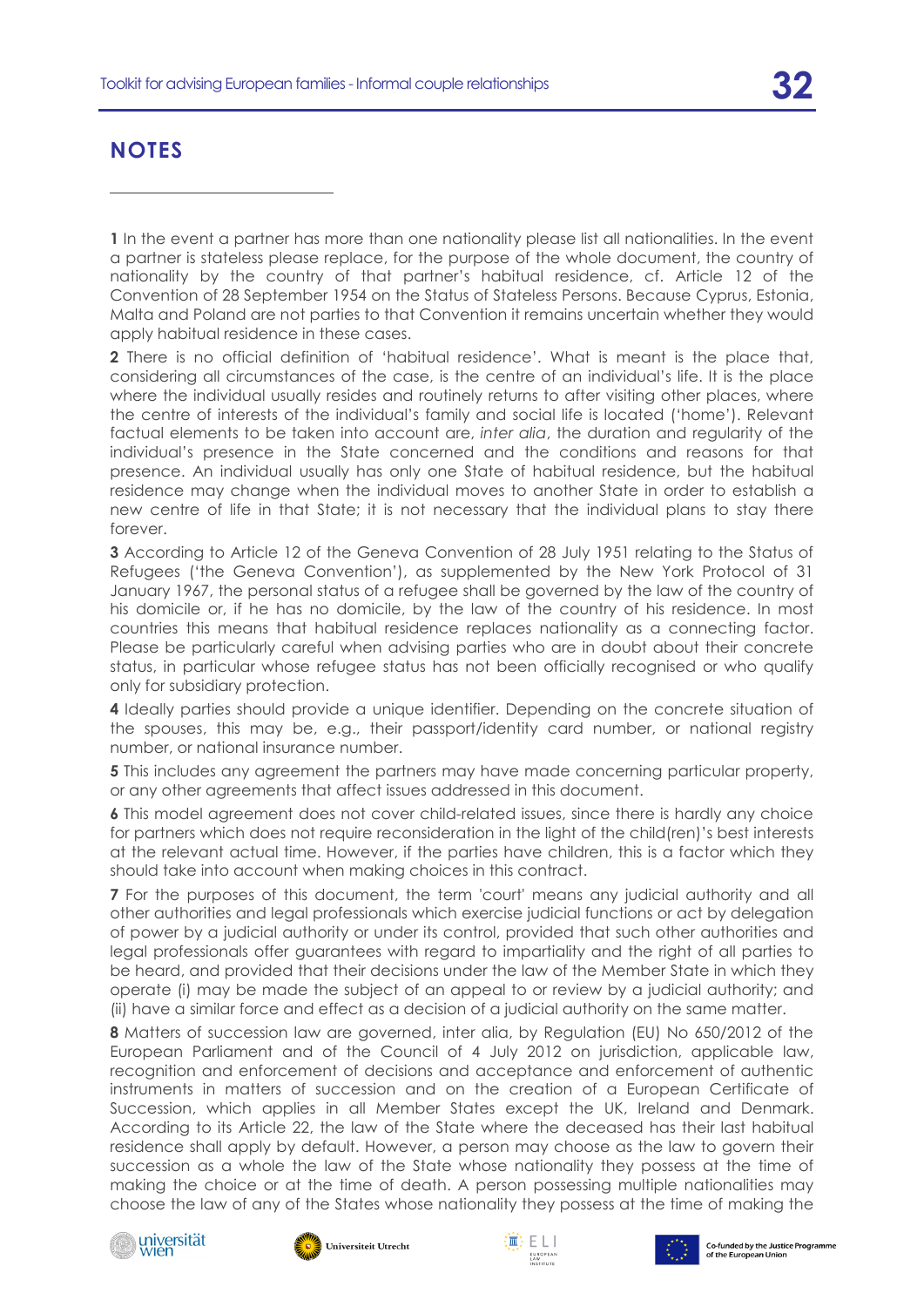# **NOTES**

-

<span id="page-31-0"></span>**1** In the event a partner has more than one nationality please list all nationalities. In the event a partner is stateless please replace, for the purpose of the whole document, the country of nationality by the country of that partner's habitual residence, cf. Article 12 of the Convention of 28 September 1954 on the Status of Stateless Persons. Because Cyprus, Estonia, Malta and Poland are not parties to that Convention it remains uncertain whether they would apply habitual residence in these cases.

<span id="page-31-1"></span>**2** There is no official definition of 'habitual residence'. What is meant is the place that, considering all circumstances of the case, is the centre of an individual's life. It is the place where the individual usually resides and routinely returns to after visiting other places, where the centre of interests of the individual's family and social life is located ('home'). Relevant factual elements to be taken into account are, *inter alia*, the duration and regularity of the individual's presence in the State concerned and the conditions and reasons for that presence. An individual usually has only one State of habitual residence, but the habitual residence may change when the individual moves to another State in order to establish a new centre of life in that State; it is not necessary that the individual plans to stay there forever.

<span id="page-31-2"></span>**3** According to Article 12 of the Geneva Convention of 28 July 1951 relating to the Status of Refugees ('the Geneva Convention'), as supplemented by the New York Protocol of 31 January 1967, the personal status of a refugee shall be governed by the law of the country of his domicile or, if he has no domicile, by the law of the country of his residence. In most countries this means that habitual residence replaces nationality as a connecting factor. Please be particularly careful when advising parties who are in doubt about their concrete status, in particular whose refugee status has not been officially recognised or who qualify only for subsidiary protection.

<span id="page-31-3"></span>**4** Ideally parties should provide a unique identifier. Depending on the concrete situation of the spouses, this may be, e.g., their passport/identity card number, or national registry number, or national insurance number.

<span id="page-31-4"></span>**5** This includes any agreement the partners may have made concerning particular property, or any other agreements that affect issues addressed in this document.

<span id="page-31-5"></span>**6** This model agreement does not cover child-related issues, since there is hardly any choice for partners which does not require reconsideration in the light of the child(ren)'s best interests at the relevant actual time. However, if the parties have children, this is a factor which they should take into account when making choices in this contract.

<span id="page-31-6"></span>**7** For the purposes of this document, the term 'court' means any judicial authority and all other authorities and legal professionals which exercise judicial functions or act by delegation of power by a judicial authority or under its control, provided that such other authorities and legal professionals offer guarantees with regard to impartiality and the right of all parties to be heard, and provided that their decisions under the law of the Member State in which they operate (i) may be made the subject of an appeal to or review by a judicial authority; and (ii) have a similar force and effect as a decision of a judicial authority on the same matter.

<span id="page-31-7"></span>**8** Matters of succession law are governed, inter alia, by Regulation (EU) No 650/2012 of the European Parliament and of the Council of 4 July 2012 on jurisdiction, applicable law, recognition and enforcement of decisions and acceptance and enforcement of authentic instruments in matters of succession and on the creation of a European Certificate of Succession, which applies in all Member States except the UK, Ireland and Denmark. According to its Article 22, the law of the State where the deceased has their last habitual residence shall apply by default. However, a person may choose as the law to govern their succession as a whole the law of the State whose nationality they possess at the time of making the choice or at the time of death. A person possessing multiple nationalities may choose the law of any of the States whose nationality they possess at the time of making the









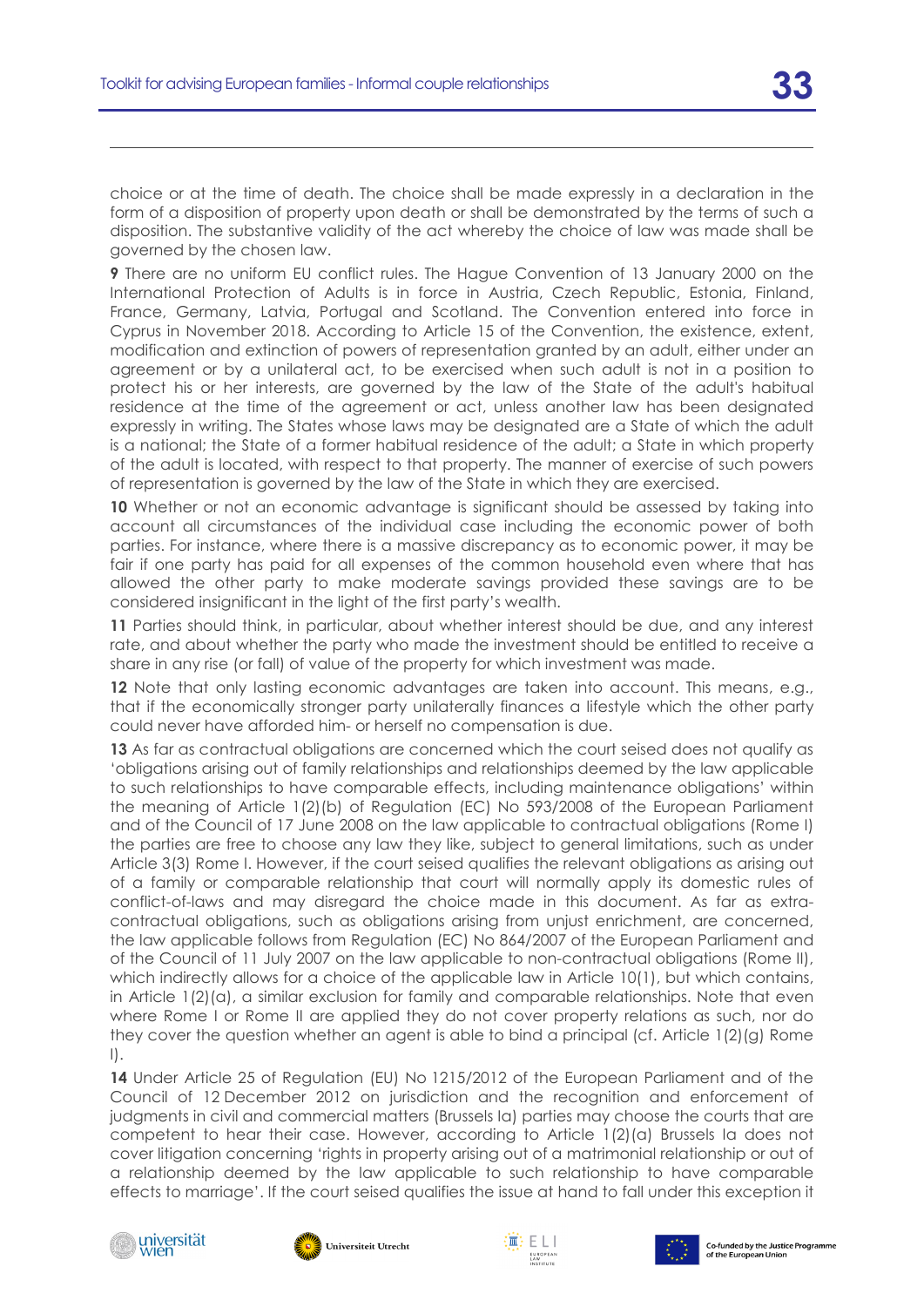-

choice or at the time of death. The choice shall be made expressly in a declaration in the form of a disposition of property upon death or shall be demonstrated by the terms of such a disposition. The substantive validity of the act whereby the choice of law was made shall be governed by the chosen law.

<span id="page-32-0"></span>**9** There are no uniform EU conflict rules. The Hague Convention of 13 January 2000 on the International Protection of Adults is in force in Austria, Czech Republic, Estonia, Finland, France, Germany, Latvia, Portugal and Scotland. The Convention entered into force in Cyprus in November 2018. According to Article 15 of the Convention, the existence, extent, modification and extinction of powers of representation granted by an adult, either under an agreement or by a unilateral act, to be exercised when such adult is not in a position to protect his or her interests, are governed by the law of the State of the adult's habitual residence at the time of the agreement or act, unless another law has been designated expressly in writing. The States whose laws may be designated are a State of which the adult is a national; the State of a former habitual residence of the adult; a State in which property of the adult is located, with respect to that property. The manner of exercise of such powers of representation is governed by the law of the State in which they are exercised.

<span id="page-32-1"></span>**10** Whether or not an economic advantage is significant should be assessed by taking into account all circumstances of the individual case including the economic power of both parties. For instance, where there is a massive discrepancy as to economic power, it may be fair if one party has paid for all expenses of the common household even where that has allowed the other party to make moderate savings provided these savings are to be considered insignificant in the light of the first party's wealth.

<span id="page-32-2"></span>**11** Parties should think, in particular, about whether interest should be due, and any interest rate, and about whether the party who made the investment should be entitled to receive a share in any rise (or fall) of value of the property for which investment was made.

<span id="page-32-3"></span>**12** Note that only lasting economic advantages are taken into account. This means, e.g., that if the economically stronger party unilaterally finances a lifestyle which the other party could never have afforded him- or herself no compensation is due.

<span id="page-32-4"></span>**13** As far as contractual obligations are concerned which the court seised does not qualify as 'obligations arising out of family relationships and relationships deemed by the law applicable to such relationships to have comparable effects, including maintenance obligations' within the meaning of Article 1(2)(b) of Regulation (EC) No 593/2008 of the European Parliament and of the Council of 17 June 2008 on the law applicable to contractual obligations (Rome I) the parties are free to choose any law they like, subject to general limitations, such as under Article 3(3) Rome I. However, if the court seised qualifies the relevant obligations as arising out of a family or comparable relationship that court will normally apply its domestic rules of conflict-of-laws and may disregard the choice made in this document. As far as extracontractual obligations, such as obligations arising from unjust enrichment, are concerned, the law applicable follows from Regulation (EC) No 864/2007 of the European Parliament and of the Council of 11 July 2007 on the law applicable to non-contractual obligations (Rome II), which indirectly allows for a choice of the applicable law in Article 10(1), but which contains, in Article 1(2)(a), a similar exclusion for family and comparable relationships. Note that even where Rome I or Rome II are applied they do not cover property relations as such, nor do they cover the question whether an agent is able to bind a principal (cf. Article 1(2)(g) Rome I).

<span id="page-32-5"></span>14 Under Article 25 of Regulation (EU) No 1215/2012 of the European Parliament and of the Council of 12 December 2012 on jurisdiction and the recognition and enforcement of judgments in civil and commercial matters (Brussels Ia) parties may choose the courts that are competent to hear their case. However, according to Article 1(2)(a) Brussels Ia does not cover litigation concerning 'rights in property arising out of a matrimonial relationship or out of a relationship deemed by the law applicable to such relationship to have comparable effects to marriage'. If the court seised qualifies the issue at hand to fall under this exception it